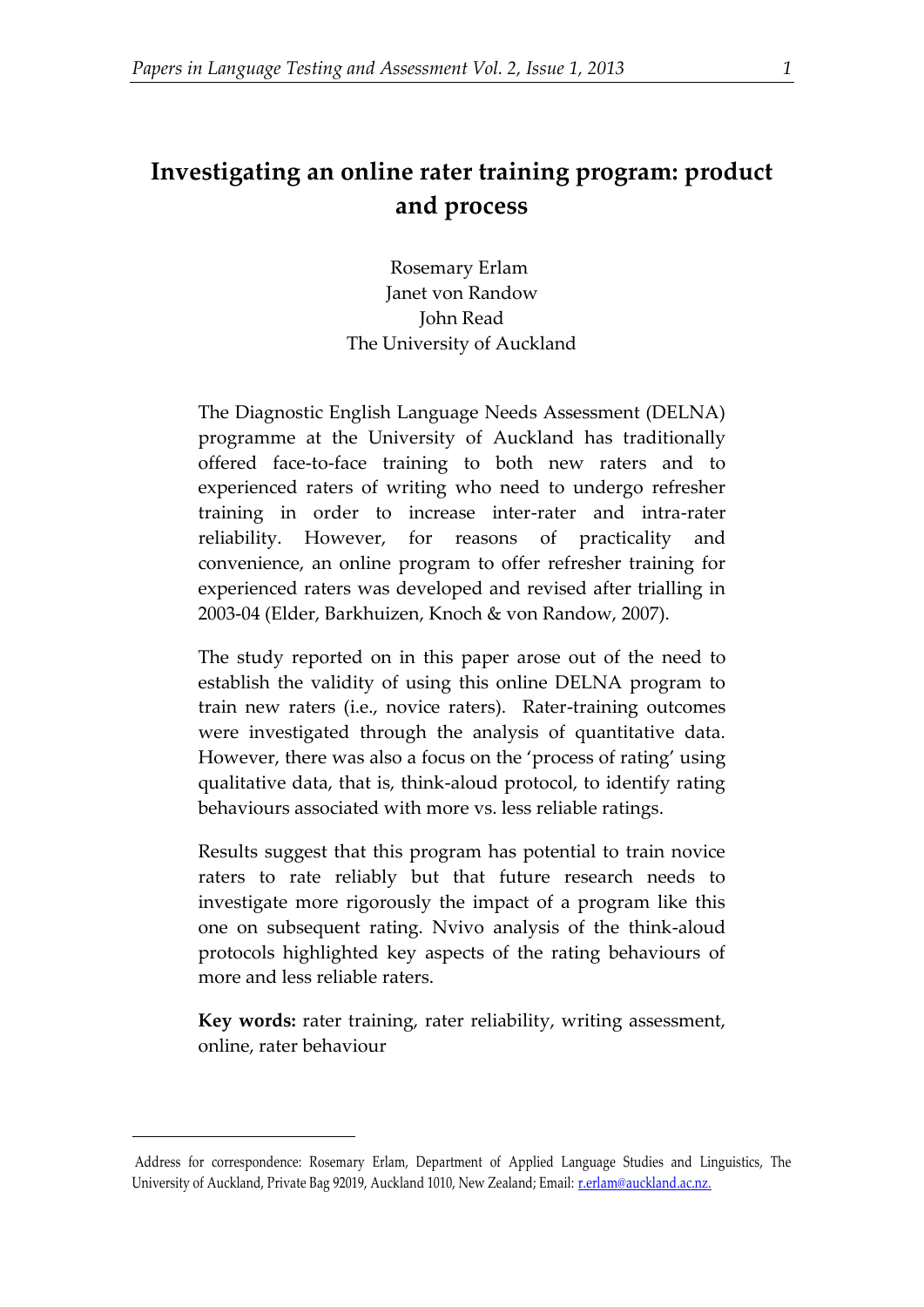# **Investigating an online rater training program: product and process**

Rosemary Erlam<sup>1</sup> Janet von Randow John Read The University of Auckland

The Diagnostic English Language Needs Assessment (DELNA) programme at the University of Auckland has traditionally offered face-to-face training to both new raters and to experienced raters of writing who need to undergo refresher training in order to increase inter-rater and intra-rater reliability. However, for reasons of practicality and convenience, an online program to offer refresher training for experienced raters was developed and revised after trialling in 2003-04 (Elder, Barkhuizen, Knoch & von Randow, 2007).

The study reported on in this paper arose out of the need to establish the validity of using this online DELNA program to train new raters (i.e., novice raters). Rater-training outcomes were investigated through the analysis of quantitative data. However, there was also a focus on the 'process of rating' using qualitative data, that is, think-aloud protocol, to identify rating behaviours associated with more vs. less reliable ratings.

Results suggest that this program has potential to train novice raters to rate reliably but that future research needs to investigate more rigorously the impact of a program like this one on subsequent rating. Nvivo analysis of the think-aloud protocols highlighted key aspects of the rating behaviours of more and less reliable raters.

**Key words:** rater training, rater reliability, writing assessment, online, rater behaviour

1

<sup>1</sup>Address for correspondence: Rosemary Erlam, Department of Applied Language Studies and Linguistics, The University of Auckland, Private Bag 92019, Auckland 1010, New Zealand; Email[: r.erlam@auckland.ac.nz.](mailto:r.erlam@auckland.ac.nz)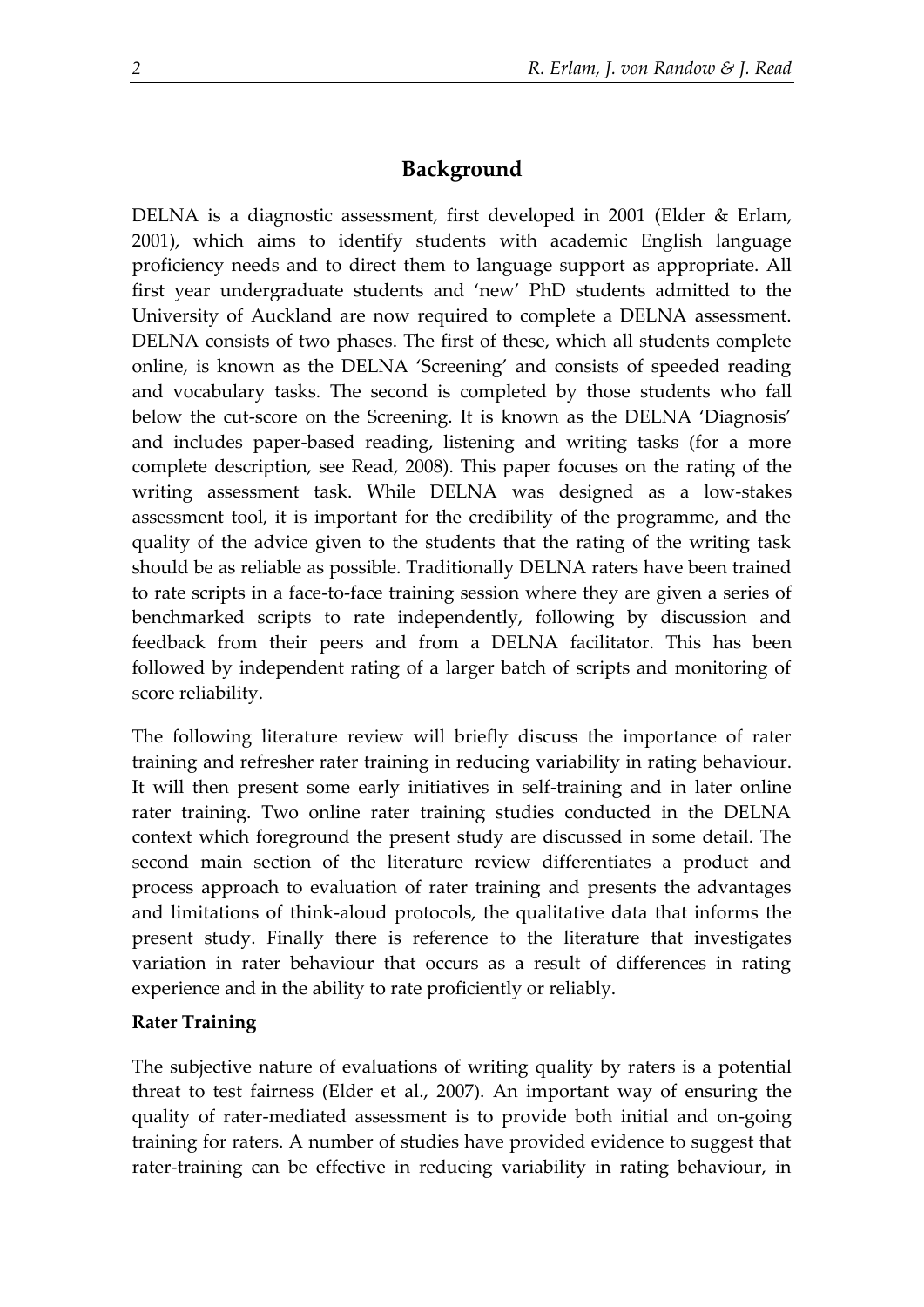## **Background**

DELNA is a diagnostic assessment, first developed in 2001 (Elder & Erlam, 2001), which aims to identify students with academic English language proficiency needs and to direct them to language support as appropriate. All first year undergraduate students and 'new' PhD students admitted to the University of Auckland are now required to complete a DELNA assessment. DELNA consists of two phases. The first of these, which all students complete online, is known as the DELNA 'Screening' and consists of speeded reading and vocabulary tasks. The second is completed by those students who fall below the cut-score on the Screening. It is known as the DELNA 'Diagnosis' and includes paper-based reading, listening and writing tasks (for a more complete description, see Read, 2008). This paper focuses on the rating of the writing assessment task. While DELNA was designed as a low-stakes assessment tool, it is important for the credibility of the programme, and the quality of the advice given to the students that the rating of the writing task should be as reliable as possible. Traditionally DELNA raters have been trained to rate scripts in a face-to-face training session where they are given a series of benchmarked scripts to rate independently, following by discussion and feedback from their peers and from a DELNA facilitator. This has been followed by independent rating of a larger batch of scripts and monitoring of score reliability.

The following literature review will briefly discuss the importance of rater training and refresher rater training in reducing variability in rating behaviour. It will then present some early initiatives in self-training and in later online rater training. Two online rater training studies conducted in the DELNA context which foreground the present study are discussed in some detail. The second main section of the literature review differentiates a product and process approach to evaluation of rater training and presents the advantages and limitations of think-aloud protocols, the qualitative data that informs the present study. Finally there is reference to the literature that investigates variation in rater behaviour that occurs as a result of differences in rating experience and in the ability to rate proficiently or reliably.

## **Rater Training**

The subjective nature of evaluations of writing quality by raters is a potential threat to test fairness (Elder et al., 2007). An important way of ensuring the quality of rater-mediated assessment is to provide both initial and on-going training for raters. A number of studies have provided evidence to suggest that rater-training can be effective in reducing variability in rating behaviour, in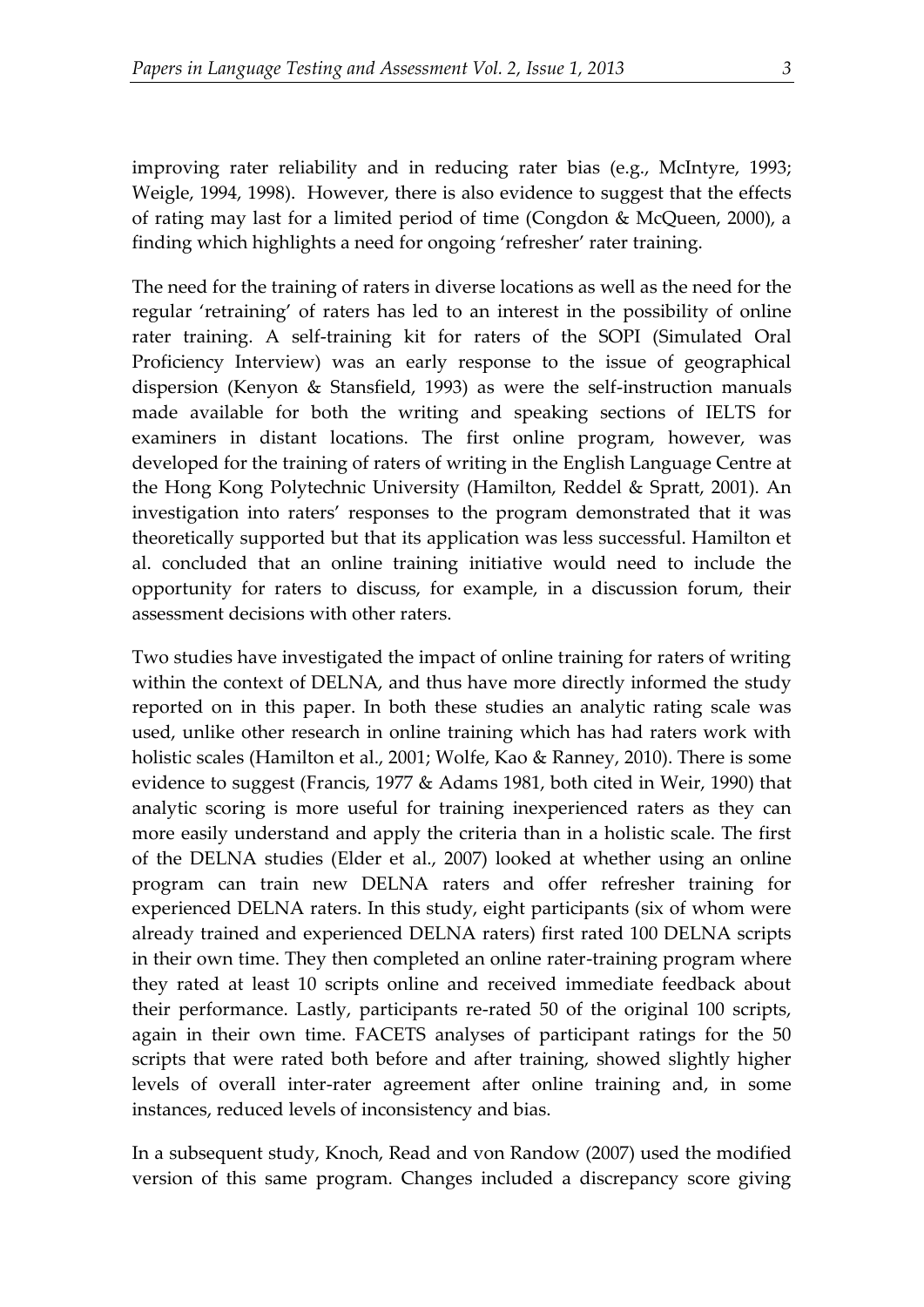improving rater reliability and in reducing rater bias (e.g., McIntyre, 1993; Weigle, 1994, 1998). However, there is also evidence to suggest that the effects of rating may last for a limited period of time (Congdon & McQueen, 2000), a finding which highlights a need for ongoing 'refresher' rater training.

The need for the training of raters in diverse locations as well as the need for the regular 'retraining' of raters has led to an interest in the possibility of online rater training. A self-training kit for raters of the SOPI (Simulated Oral Proficiency Interview) was an early response to the issue of geographical dispersion (Kenyon & Stansfield, 1993) as were the self-instruction manuals made available for both the writing and speaking sections of IELTS for examiners in distant locations. The first online program, however, was developed for the training of raters of writing in the English Language Centre at the Hong Kong Polytechnic University (Hamilton, Reddel & Spratt, 2001). An investigation into raters' responses to the program demonstrated that it was theoretically supported but that its application was less successful. Hamilton et al. concluded that an online training initiative would need to include the opportunity for raters to discuss, for example, in a discussion forum, their assessment decisions with other raters.

Two studies have investigated the impact of online training for raters of writing within the context of DELNA, and thus have more directly informed the study reported on in this paper. In both these studies an analytic rating scale was used, unlike other research in online training which has had raters work with holistic scales (Hamilton et al., 2001; Wolfe, Kao & Ranney, 2010). There is some evidence to suggest (Francis, 1977 & Adams 1981, both cited in Weir, 1990) that analytic scoring is more useful for training inexperienced raters as they can more easily understand and apply the criteria than in a holistic scale. The first of the DELNA studies (Elder et al., 2007) looked at whether using an online program can train new DELNA raters and offer refresher training for experienced DELNA raters. In this study, eight participants (six of whom were already trained and experienced DELNA raters) first rated 100 DELNA scripts in their own time. They then completed an online rater-training program where they rated at least 10 scripts online and received immediate feedback about their performance. Lastly, participants re-rated 50 of the original 100 scripts, again in their own time. FACETS analyses of participant ratings for the 50 scripts that were rated both before and after training, showed slightly higher levels of overall inter-rater agreement after online training and, in some instances, reduced levels of inconsistency and bias.

In a subsequent study, Knoch, Read and von Randow (2007) used the modified version of this same program. Changes included a discrepancy score giving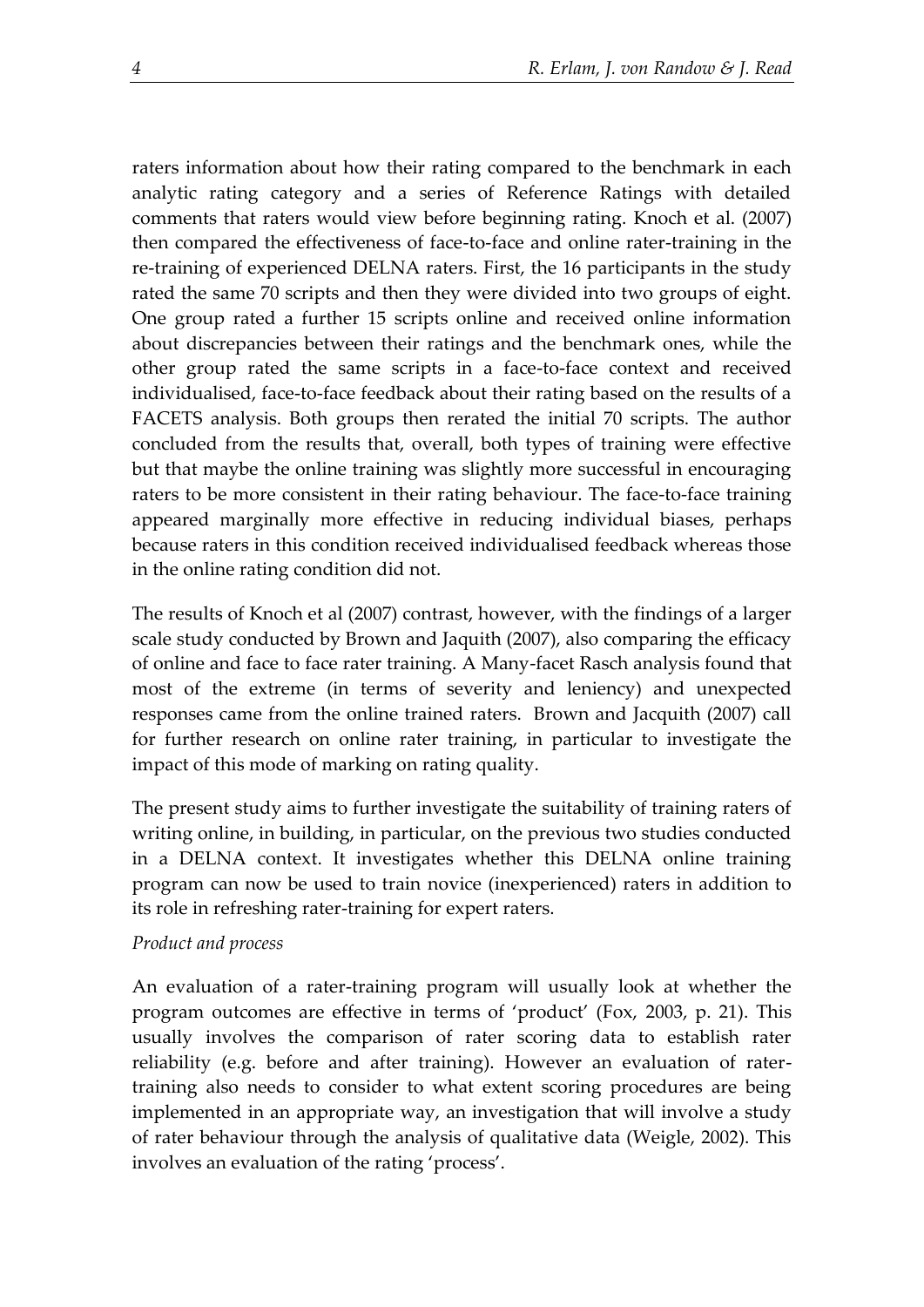raters information about how their rating compared to the benchmark in each analytic rating category and a series of Reference Ratings with detailed comments that raters would view before beginning rating. Knoch et al. (2007) then compared the effectiveness of face-to-face and online rater-training in the re-training of experienced DELNA raters. First, the 16 participants in the study rated the same 70 scripts and then they were divided into two groups of eight. One group rated a further 15 scripts online and received online information about discrepancies between their ratings and the benchmark ones, while the other group rated the same scripts in a face-to-face context and received individualised, face-to-face feedback about their rating based on the results of a FACETS analysis. Both groups then rerated the initial 70 scripts. The author concluded from the results that, overall, both types of training were effective but that maybe the online training was slightly more successful in encouraging raters to be more consistent in their rating behaviour. The face-to-face training appeared marginally more effective in reducing individual biases, perhaps because raters in this condition received individualised feedback whereas those in the online rating condition did not.

The results of Knoch et al (2007) contrast, however, with the findings of a larger scale study conducted by Brown and Jaquith (2007), also comparing the efficacy of online and face to face rater training. A Many-facet Rasch analysis found that most of the extreme (in terms of severity and leniency) and unexpected responses came from the online trained raters. Brown and Jacquith (2007) call for further research on online rater training, in particular to investigate the impact of this mode of marking on rating quality.

The present study aims to further investigate the suitability of training raters of writing online, in building, in particular, on the previous two studies conducted in a DELNA context. It investigates whether this DELNA online training program can now be used to train novice (inexperienced) raters in addition to its role in refreshing rater-training for expert raters.

## *Product and process*

An evaluation of a rater-training program will usually look at whether the program outcomes are effective in terms of 'product' (Fox, 2003, p. 21). This usually involves the comparison of rater scoring data to establish rater reliability (e.g. before and after training). However an evaluation of ratertraining also needs to consider to what extent scoring procedures are being implemented in an appropriate way, an investigation that will involve a study of rater behaviour through the analysis of qualitative data (Weigle, 2002). This involves an evaluation of the rating 'process'.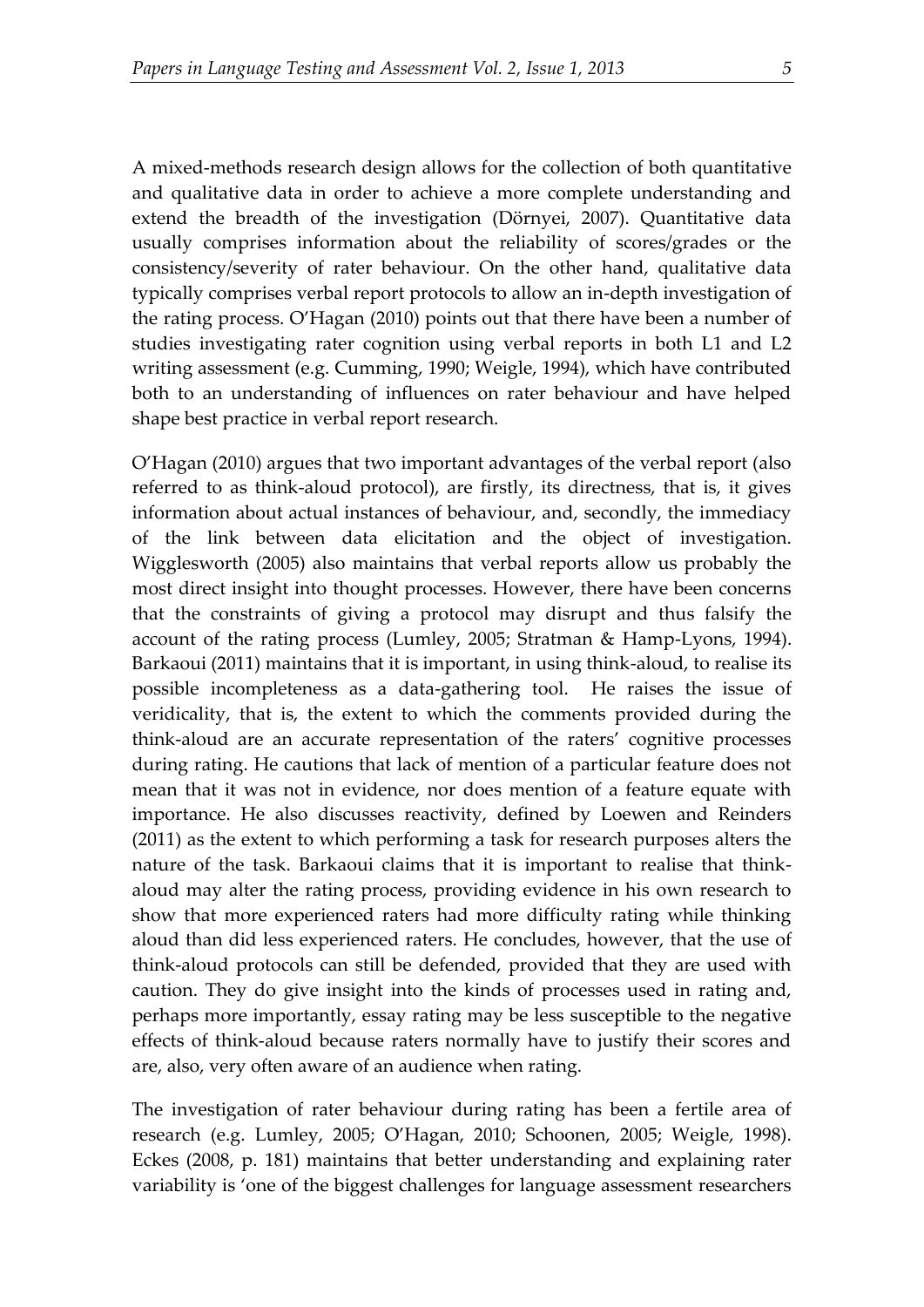A mixed-methods research design allows for the collection of both quantitative and qualitative data in order to achieve a more complete understanding and extend the breadth of the investigation (Dörnyei, 2007). Quantitative data usually comprises information about the reliability of scores/grades or the consistency/severity of rater behaviour. On the other hand, qualitative data typically comprises verbal report protocols to allow an in-depth investigation of the rating process. O'Hagan (2010) points out that there have been a number of studies investigating rater cognition using verbal reports in both L1 and L2 writing assessment (e.g. Cumming, 1990; Weigle, 1994), which have contributed both to an understanding of influences on rater behaviour and have helped shape best practice in verbal report research.

O'Hagan (2010) argues that two important advantages of the verbal report (also referred to as think-aloud protocol), are firstly, its directness, that is, it gives information about actual instances of behaviour, and, secondly, the immediacy of the link between data elicitation and the object of investigation. Wigglesworth (2005) also maintains that verbal reports allow us probably the most direct insight into thought processes. However, there have been concerns that the constraints of giving a protocol may disrupt and thus falsify the account of the rating process (Lumley, 2005; Stratman & Hamp-Lyons, 1994). Barkaoui (2011) maintains that it is important, in using think-aloud, to realise its possible incompleteness as a data-gathering tool. He raises the issue of veridicality, that is, the extent to which the comments provided during the think-aloud are an accurate representation of the raters' cognitive processes during rating. He cautions that lack of mention of a particular feature does not mean that it was not in evidence, nor does mention of a feature equate with importance. He also discusses reactivity, defined by Loewen and Reinders (2011) as the extent to which performing a task for research purposes alters the nature of the task. Barkaoui claims that it is important to realise that thinkaloud may alter the rating process, providing evidence in his own research to show that more experienced raters had more difficulty rating while thinking aloud than did less experienced raters. He concludes, however, that the use of think-aloud protocols can still be defended, provided that they are used with caution. They do give insight into the kinds of processes used in rating and, perhaps more importantly, essay rating may be less susceptible to the negative effects of think-aloud because raters normally have to justify their scores and are, also, very often aware of an audience when rating.

The investigation of rater behaviour during rating has been a fertile area of research (e.g. Lumley, 2005; O'Hagan, 2010; Schoonen, 2005; Weigle, 1998). Eckes (2008, p. 181) maintains that better understanding and explaining rater variability is 'one of the biggest challenges for language assessment researchers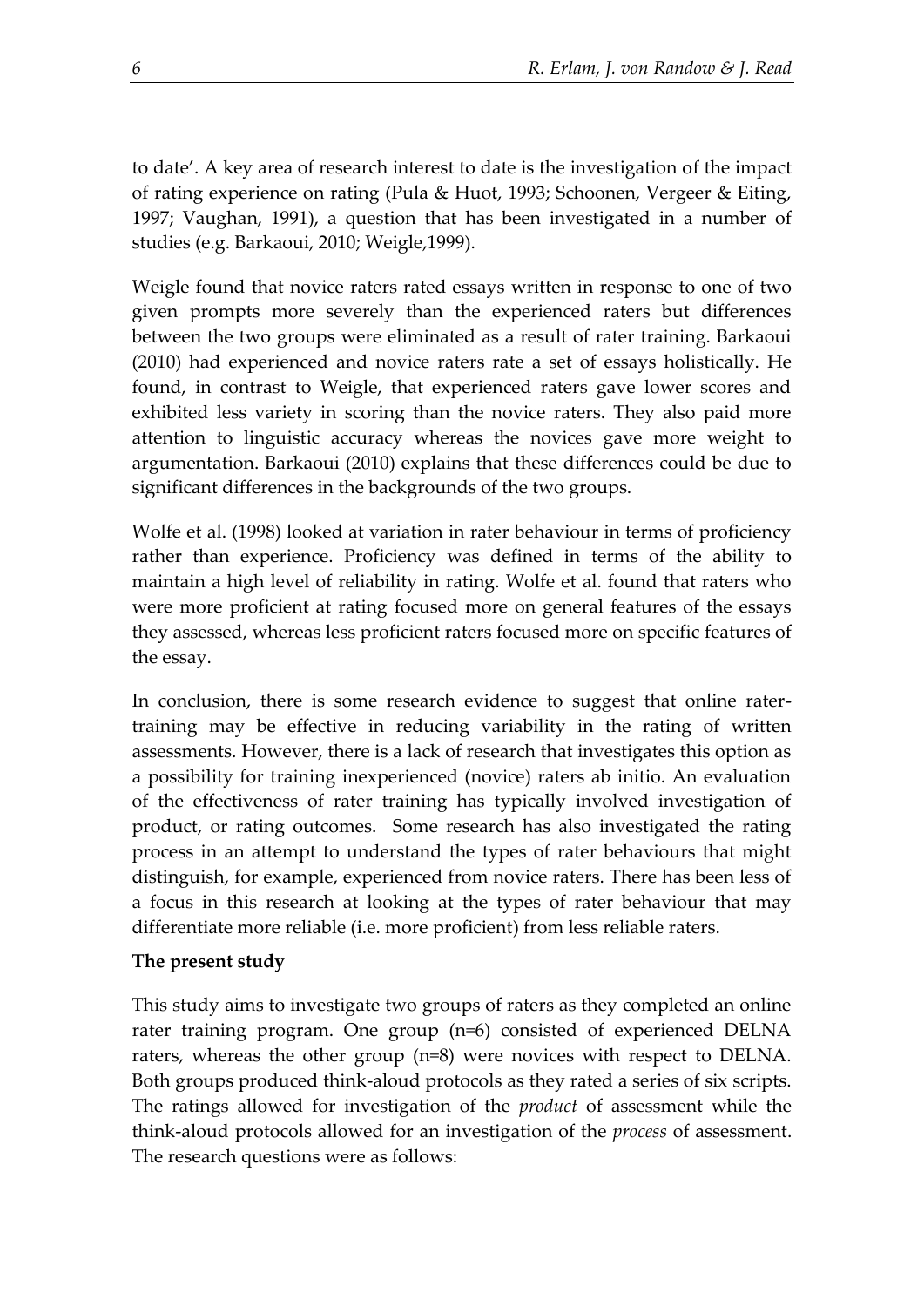to date'. A key area of research interest to date is the investigation of the impact of rating experience on rating (Pula & Huot, 1993; Schoonen, Vergeer & Eiting, 1997; Vaughan, 1991), a question that has been investigated in a number of studies (e.g. Barkaoui, 2010; Weigle,1999).

Weigle found that novice raters rated essays written in response to one of two given prompts more severely than the experienced raters but differences between the two groups were eliminated as a result of rater training. Barkaoui (2010) had experienced and novice raters rate a set of essays holistically. He found, in contrast to Weigle, that experienced raters gave lower scores and exhibited less variety in scoring than the novice raters. They also paid more attention to linguistic accuracy whereas the novices gave more weight to argumentation. Barkaoui (2010) explains that these differences could be due to significant differences in the backgrounds of the two groups.

Wolfe et al. (1998) looked at variation in rater behaviour in terms of proficiency rather than experience. Proficiency was defined in terms of the ability to maintain a high level of reliability in rating. Wolfe et al. found that raters who were more proficient at rating focused more on general features of the essays they assessed, whereas less proficient raters focused more on specific features of the essay.

In conclusion, there is some research evidence to suggest that online ratertraining may be effective in reducing variability in the rating of written assessments. However, there is a lack of research that investigates this option as a possibility for training inexperienced (novice) raters ab initio. An evaluation of the effectiveness of rater training has typically involved investigation of product, or rating outcomes. Some research has also investigated the rating process in an attempt to understand the types of rater behaviours that might distinguish, for example, experienced from novice raters. There has been less of a focus in this research at looking at the types of rater behaviour that may differentiate more reliable (i.e. more proficient) from less reliable raters.

## **The present study**

This study aims to investigate two groups of raters as they completed an online rater training program. One group (n=6) consisted of experienced DELNA raters, whereas the other group (n=8) were novices with respect to DELNA. Both groups produced think-aloud protocols as they rated a series of six scripts. The ratings allowed for investigation of the *product* of assessment while the think-aloud protocols allowed for an investigation of the *process* of assessment. The research questions were as follows: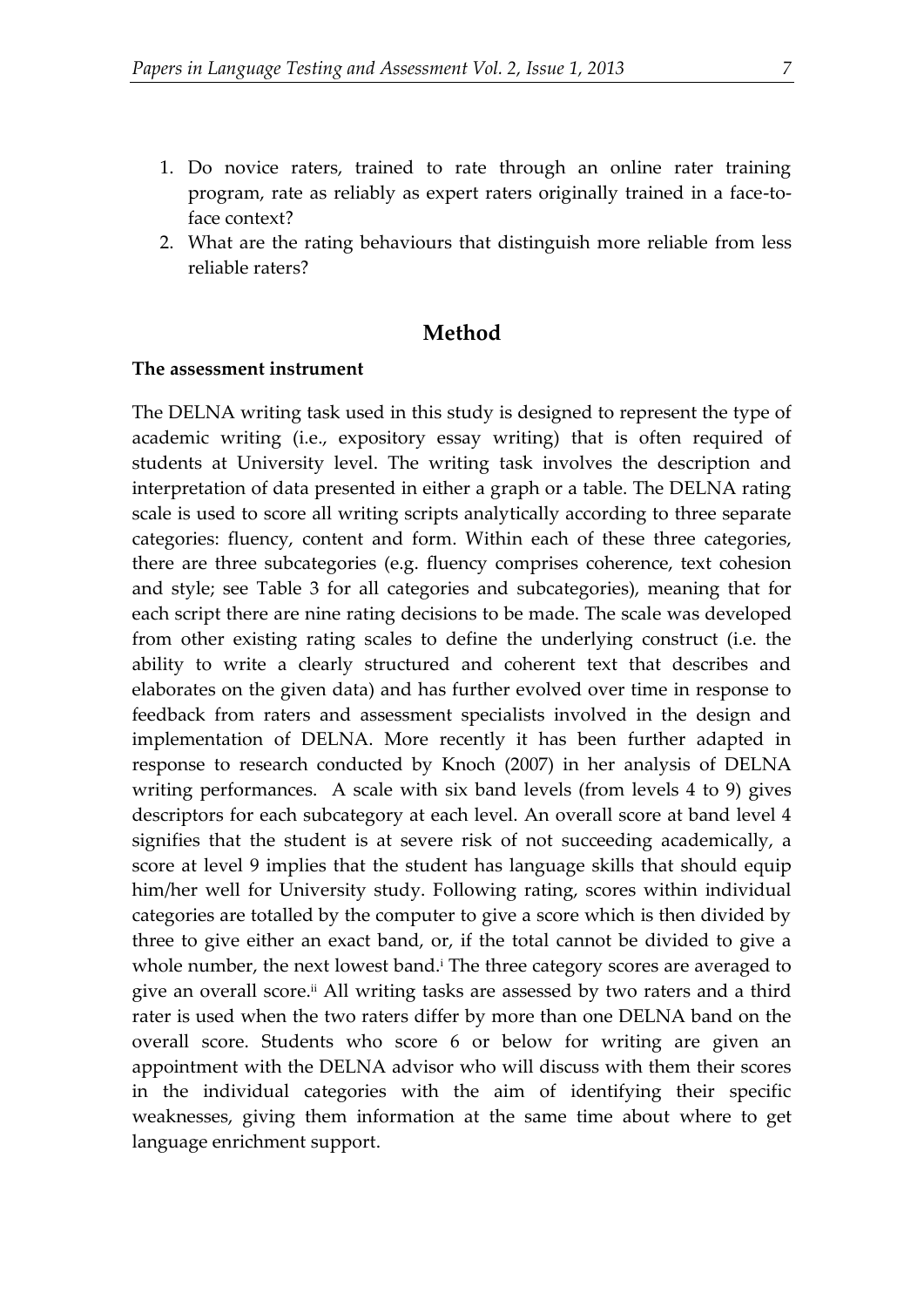- 1. Do novice raters, trained to rate through an online rater training program, rate as reliably as expert raters originally trained in a face-toface context?
- 2. What are the rating behaviours that distinguish more reliable from less reliable raters?

### **Method**

#### **The assessment instrument**

The DELNA writing task used in this study is designed to represent the type of academic writing (i.e., expository essay writing) that is often required of students at University level. The writing task involves the description and interpretation of data presented in either a graph or a table. The DELNA rating scale is used to score all writing scripts analytically according to three separate categories: fluency, content and form. Within each of these three categories, there are three subcategories (e.g. fluency comprises coherence, text cohesion and style; see Table 3 for all categories and subcategories), meaning that for each script there are nine rating decisions to be made. The scale was developed from other existing rating scales to define the underlying construct (i.e. the ability to write a clearly structured and coherent text that describes and elaborates on the given data) and has further evolved over time in response to feedback from raters and assessment specialists involved in the design and implementation of DELNA. More recently it has been further adapted in response to research conducted by Knoch (2007) in her analysis of DELNA writing performances. A scale with six band levels (from levels 4 to 9) gives descriptors for each subcategory at each level. An overall score at band level 4 signifies that the student is at severe risk of not succeeding academically, a score at level 9 implies that the student has language skills that should equip him/her well for University study. Following rating, scores within individual categories are totalled by the computer to give a score which is then divided by three to give either an exact band, or, if the total cannot be divided to give a whole number, the next lowest band.<sup>i</sup> The three category scores are averaged to give an overall score.<sup>ii</sup> All writing tasks are assessed by two raters and a third rater is used when the two raters differ by more than one DELNA band on the overall score. Students who score 6 or below for writing are given an appointment with the DELNA advisor who will discuss with them their scores in the individual categories with the aim of identifying their specific weaknesses, giving them information at the same time about where to get language enrichment support.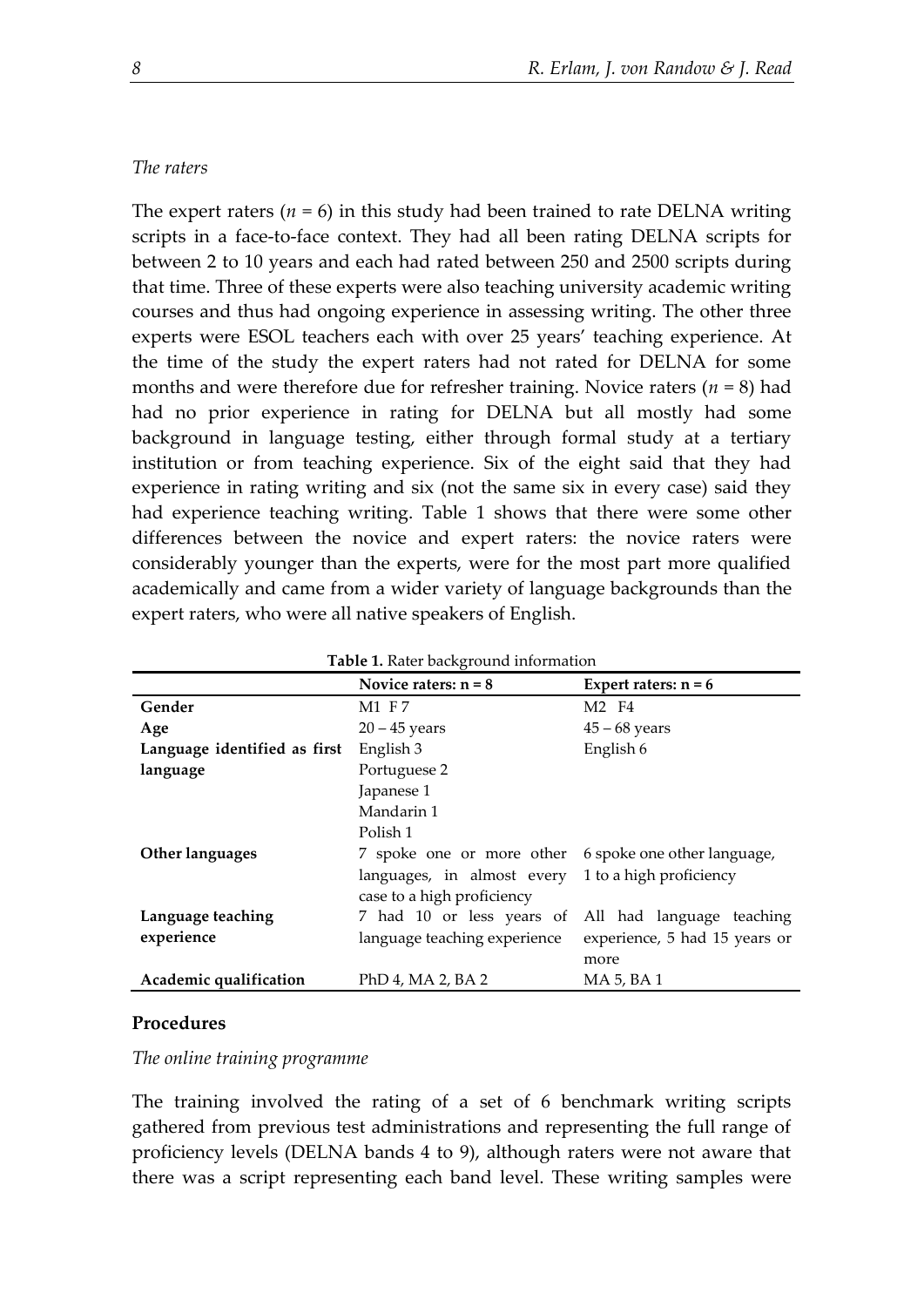#### *The raters*

The expert raters  $(n = 6)$  in this study had been trained to rate DELNA writing scripts in a face-to-face context. They had all been rating DELNA scripts for between 2 to 10 years and each had rated between 250 and 2500 scripts during that time. Three of these experts were also teaching university academic writing courses and thus had ongoing experience in assessing writing. The other three experts were ESOL teachers each with over 25 years' teaching experience. At the time of the study the expert raters had not rated for DELNA for some months and were therefore due for refresher training. Novice raters (*n* = 8) had had no prior experience in rating for DELNA but all mostly had some background in language testing, either through formal study at a tertiary institution or from teaching experience. Six of the eight said that they had experience in rating writing and six (not the same six in every case) said they had experience teaching writing. Table 1 shows that there were some other differences between the novice and expert raters: the novice raters were considerably younger than the experts, were for the most part more qualified academically and came from a wider variety of language backgrounds than the expert raters, who were all native speakers of English.

| Table 1. Rater background information |                              |                               |  |  |
|---------------------------------------|------------------------------|-------------------------------|--|--|
|                                       | Novice raters: $n = 8$       | Expert raters: $n = 6$        |  |  |
| Gender                                | M1 F7                        | M2 F4                         |  |  |
| Age                                   | $20 - 45$ years              | $45 - 68$ years               |  |  |
| Language identified as first          | English 3                    | English 6                     |  |  |
| language                              | Portuguese 2                 |                               |  |  |
|                                       | Japanese 1                   |                               |  |  |
|                                       | Mandarin 1                   |                               |  |  |
|                                       | Polish 1                     |                               |  |  |
| Other languages                       | 7 spoke one or more other    | 6 spoke one other language,   |  |  |
|                                       | languages, in almost every   | 1 to a high proficiency       |  |  |
|                                       | case to a high proficiency   |                               |  |  |
| Language teaching                     | 7 had 10 or less years of    | All had language teaching     |  |  |
| experience                            | language teaching experience | experience, 5 had 15 years or |  |  |
|                                       |                              | more                          |  |  |
| Academic qualification                | PhD 4, MA 2, BA 2            | MA 5, BA 1                    |  |  |

#### **Procedures**

*The online training programme*

The training involved the rating of a set of 6 benchmark writing scripts gathered from previous test administrations and representing the full range of proficiency levels (DELNA bands 4 to 9), although raters were not aware that there was a script representing each band level. These writing samples were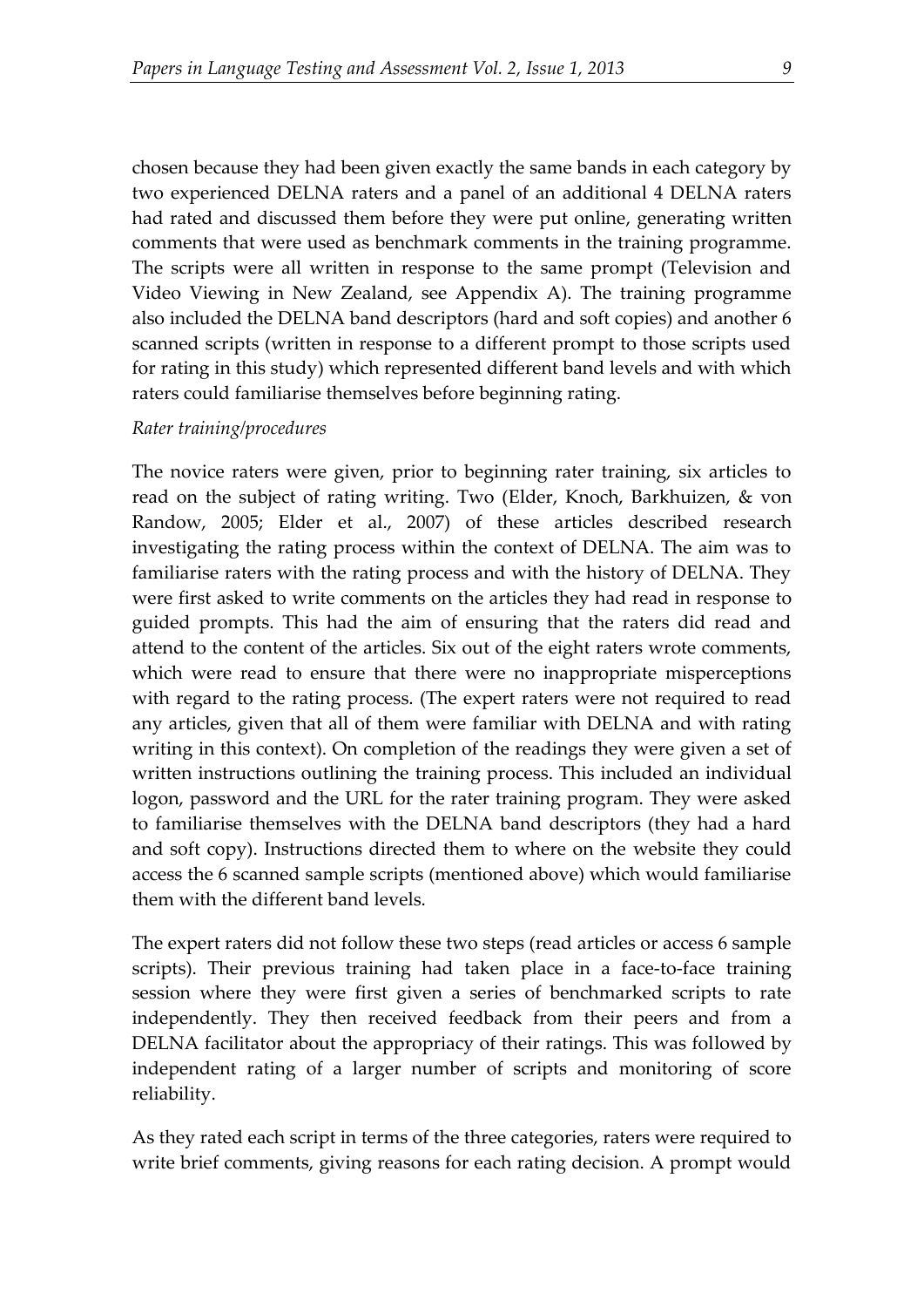chosen because they had been given exactly the same bands in each category by two experienced DELNA raters and a panel of an additional 4 DELNA raters had rated and discussed them before they were put online, generating written comments that were used as benchmark comments in the training programme. The scripts were all written in response to the same prompt (Television and Video Viewing in New Zealand, see Appendix A). The training programme also included the DELNA band descriptors (hard and soft copies) and another 6 scanned scripts (written in response to a different prompt to those scripts used for rating in this study) which represented different band levels and with which raters could familiarise themselves before beginning rating.

#### *Rater training/procedures*

The novice raters were given, prior to beginning rater training, six articles to read on the subject of rating writing. Two (Elder, Knoch, Barkhuizen, & von Randow, 2005; Elder et al., 2007) of these articles described research investigating the rating process within the context of DELNA. The aim was to familiarise raters with the rating process and with the history of DELNA. They were first asked to write comments on the articles they had read in response to guided prompts. This had the aim of ensuring that the raters did read and attend to the content of the articles. Six out of the eight raters wrote comments, which were read to ensure that there were no inappropriate misperceptions with regard to the rating process. (The expert raters were not required to read any articles, given that all of them were familiar with DELNA and with rating writing in this context). On completion of the readings they were given a set of written instructions outlining the training process. This included an individual logon, password and the URL for the rater training program. They were asked to familiarise themselves with the DELNA band descriptors (they had a hard and soft copy). Instructions directed them to where on the website they could access the 6 scanned sample scripts (mentioned above) which would familiarise them with the different band levels.

The expert raters did not follow these two steps (read articles or access 6 sample scripts). Their previous training had taken place in a face-to-face training session where they were first given a series of benchmarked scripts to rate independently. They then received feedback from their peers and from a DELNA facilitator about the appropriacy of their ratings. This was followed by independent rating of a larger number of scripts and monitoring of score reliability.

As they rated each script in terms of the three categories, raters were required to write brief comments, giving reasons for each rating decision. A prompt would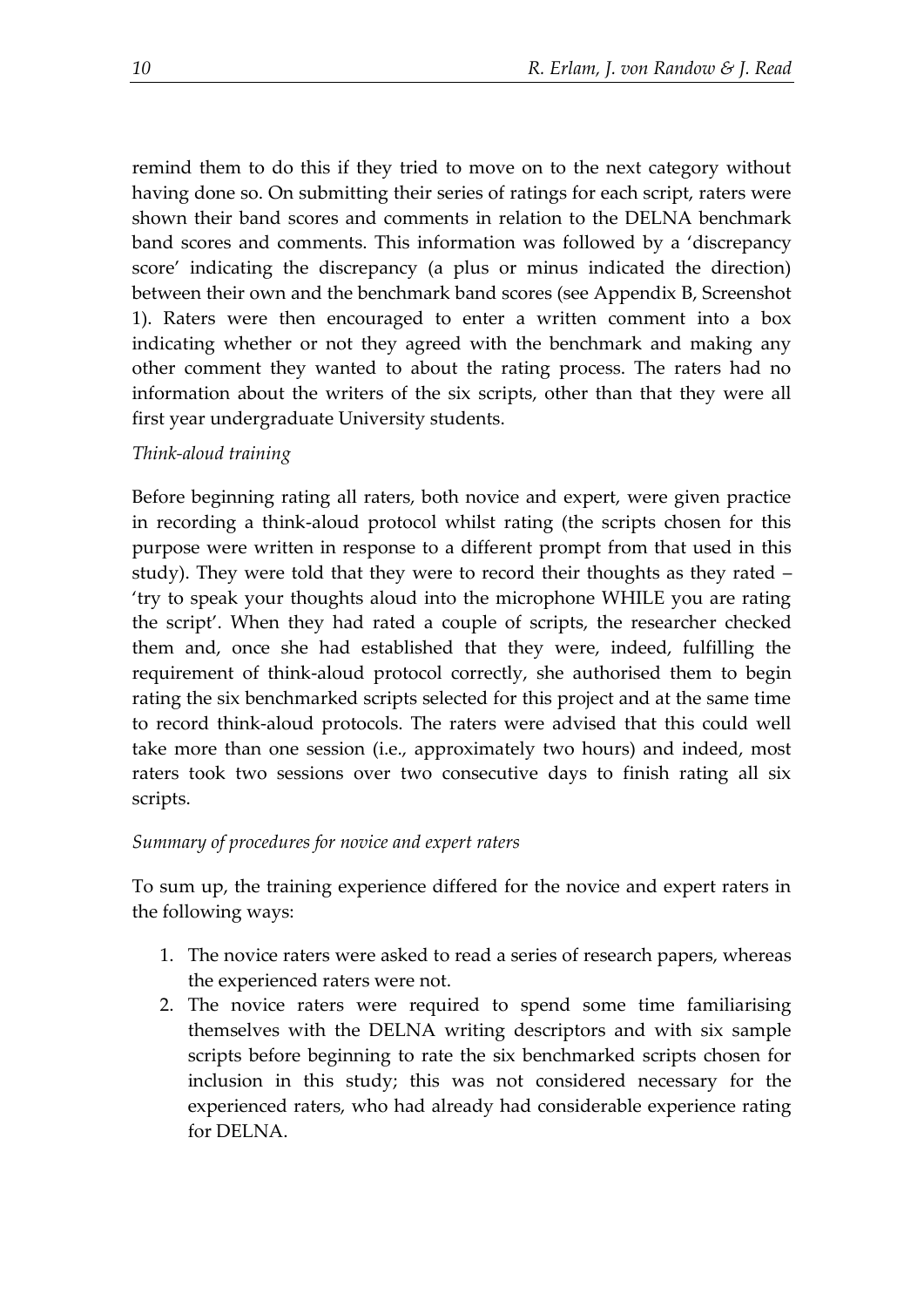remind them to do this if they tried to move on to the next category without having done so. On submitting their series of ratings for each script, raters were shown their band scores and comments in relation to the DELNA benchmark band scores and comments. This information was followed by a 'discrepancy score' indicating the discrepancy (a plus or minus indicated the direction) between their own and the benchmark band scores (see Appendix B, Screenshot 1). Raters were then encouraged to enter a written comment into a box indicating whether or not they agreed with the benchmark and making any other comment they wanted to about the rating process. The raters had no information about the writers of the six scripts, other than that they were all first year undergraduate University students.

## *Think-aloud training*

Before beginning rating all raters, both novice and expert, were given practice in recording a think-aloud protocol whilst rating (the scripts chosen for this purpose were written in response to a different prompt from that used in this study). They were told that they were to record their thoughts as they rated – 'try to speak your thoughts aloud into the microphone WHILE you are rating the script'. When they had rated a couple of scripts, the researcher checked them and, once she had established that they were, indeed, fulfilling the requirement of think-aloud protocol correctly, she authorised them to begin rating the six benchmarked scripts selected for this project and at the same time to record think-aloud protocols. The raters were advised that this could well take more than one session (i.e., approximately two hours) and indeed, most raters took two sessions over two consecutive days to finish rating all six scripts.

#### *Summary of procedures for novice and expert raters*

To sum up, the training experience differed for the novice and expert raters in the following ways:

- 1. The novice raters were asked to read a series of research papers, whereas the experienced raters were not.
- 2. The novice raters were required to spend some time familiarising themselves with the DELNA writing descriptors and with six sample scripts before beginning to rate the six benchmarked scripts chosen for inclusion in this study; this was not considered necessary for the experienced raters, who had already had considerable experience rating for DELNA.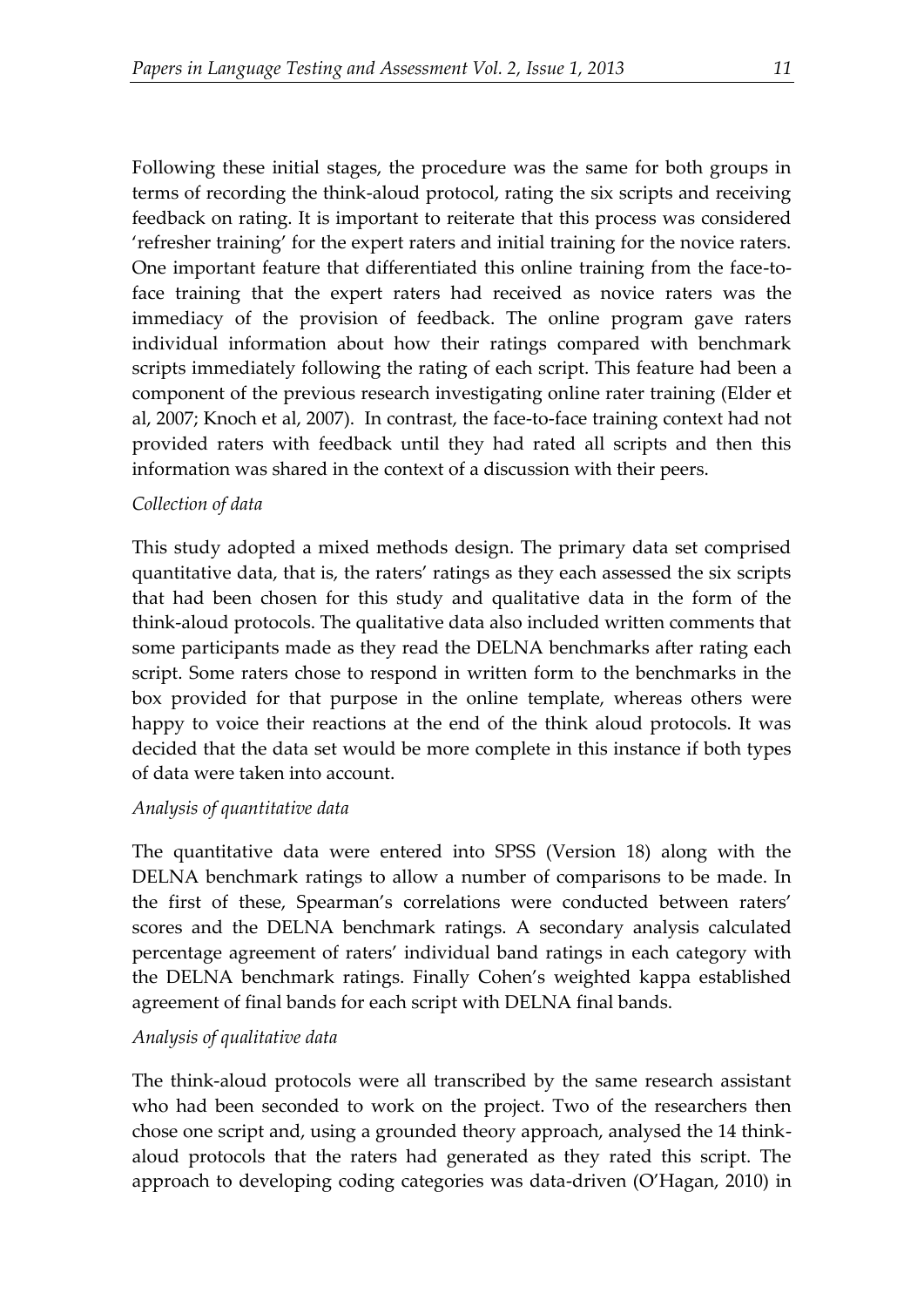Following these initial stages, the procedure was the same for both groups in terms of recording the think-aloud protocol, rating the six scripts and receiving feedback on rating. It is important to reiterate that this process was considered 'refresher training' for the expert raters and initial training for the novice raters. One important feature that differentiated this online training from the face-toface training that the expert raters had received as novice raters was the immediacy of the provision of feedback. The online program gave raters individual information about how their ratings compared with benchmark scripts immediately following the rating of each script. This feature had been a component of the previous research investigating online rater training (Elder et al, 2007; Knoch et al, 2007). In contrast, the face-to-face training context had not provided raters with feedback until they had rated all scripts and then this information was shared in the context of a discussion with their peers.

## *Collection of data*

This study adopted a mixed methods design. The primary data set comprised quantitative data, that is, the raters' ratings as they each assessed the six scripts that had been chosen for this study and qualitative data in the form of the think-aloud protocols. The qualitative data also included written comments that some participants made as they read the DELNA benchmarks after rating each script. Some raters chose to respond in written form to the benchmarks in the box provided for that purpose in the online template, whereas others were happy to voice their reactions at the end of the think aloud protocols. It was decided that the data set would be more complete in this instance if both types of data were taken into account.

#### *Analysis of quantitative data*

The quantitative data were entered into SPSS (Version 18) along with the DELNA benchmark ratings to allow a number of comparisons to be made. In the first of these, Spearman's correlations were conducted between raters' scores and the DELNA benchmark ratings. A secondary analysis calculated percentage agreement of raters' individual band ratings in each category with the DELNA benchmark ratings. Finally Cohen's weighted kappa established agreement of final bands for each script with DELNA final bands.

## *Analysis of qualitative data*

The think-aloud protocols were all transcribed by the same research assistant who had been seconded to work on the project. Two of the researchers then chose one script and, using a grounded theory approach, analysed the 14 thinkaloud protocols that the raters had generated as they rated this script. The approach to developing coding categories was data-driven (O'Hagan, 2010) in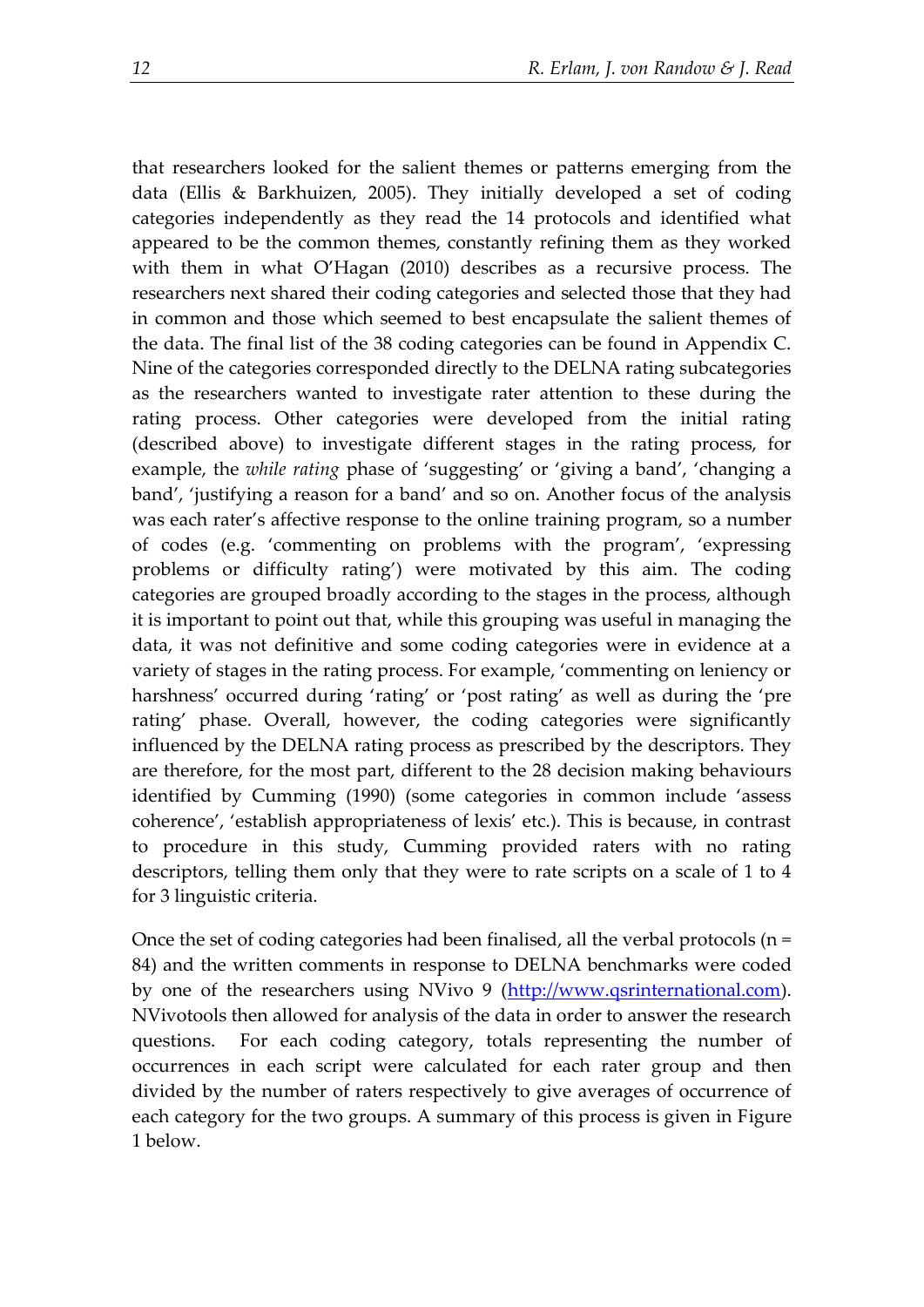that researchers looked for the salient themes or patterns emerging from the data (Ellis & Barkhuizen, 2005). They initially developed a set of coding categories independently as they read the 14 protocols and identified what appeared to be the common themes, constantly refining them as they worked with them in what O'Hagan (2010) describes as a recursive process. The researchers next shared their coding categories and selected those that they had in common and those which seemed to best encapsulate the salient themes of the data. The final list of the 38 coding categories can be found in Appendix C. Nine of the categories corresponded directly to the DELNA rating subcategories as the researchers wanted to investigate rater attention to these during the rating process. Other categories were developed from the initial rating (described above) to investigate different stages in the rating process, for example, the *while rating* phase of 'suggesting' or 'giving a band', 'changing a band', 'justifying a reason for a band' and so on. Another focus of the analysis was each rater's affective response to the online training program, so a number of codes (e.g. 'commenting on problems with the program', 'expressing problems or difficulty rating') were motivated by this aim. The coding categories are grouped broadly according to the stages in the process, although it is important to point out that, while this grouping was useful in managing the data, it was not definitive and some coding categories were in evidence at a variety of stages in the rating process. For example, 'commenting on leniency or harshness' occurred during 'rating' or 'post rating' as well as during the 'pre rating' phase. Overall, however, the coding categories were significantly influenced by the DELNA rating process as prescribed by the descriptors. They are therefore, for the most part, different to the 28 decision making behaviours identified by Cumming (1990) (some categories in common include 'assess coherence', 'establish appropriateness of lexis' etc.). This is because, in contrast to procedure in this study, Cumming provided raters with no rating descriptors, telling them only that they were to rate scripts on a scale of 1 to 4 for 3 linguistic criteria.

Once the set of coding categories had been finalised, all the verbal protocols (n = 84) and the written comments in response to DELNA benchmarks were coded by one of the researchers using NVivo 9 [\(http://www.qsrinternational.com\)](http://www.qsrinternational.com/). NVivotools then allowed for analysis of the data in order to answer the research questions. For each coding category, totals representing the number of occurrences in each script were calculated for each rater group and then divided by the number of raters respectively to give averages of occurrence of each category for the two groups. A summary of this process is given in Figure 1 below.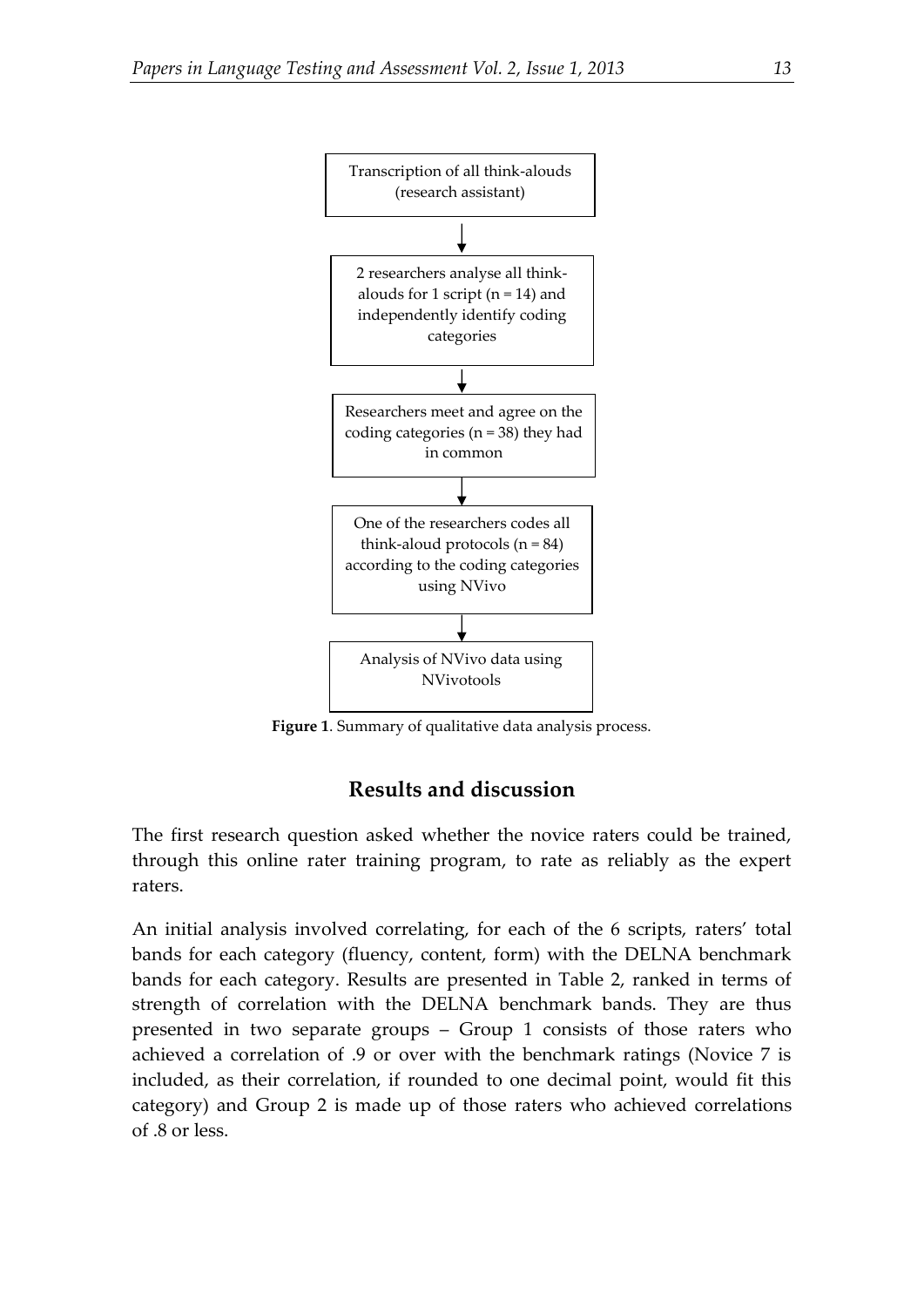

**Figure 1**. Summary of qualitative data analysis process.

## **Results and discussion**

The first research question asked whether the novice raters could be trained, through this online rater training program, to rate as reliably as the expert raters.

An initial analysis involved correlating, for each of the 6 scripts, raters' total bands for each category (fluency, content, form) with the DELNA benchmark bands for each category. Results are presented in Table 2, ranked in terms of strength of correlation with the DELNA benchmark bands. They are thus presented in two separate groups – Group 1 consists of those raters who achieved a correlation of .9 or over with the benchmark ratings (Novice 7 is included, as their correlation, if rounded to one decimal point, would fit this category) and Group 2 is made up of those raters who achieved correlations of .8 or less.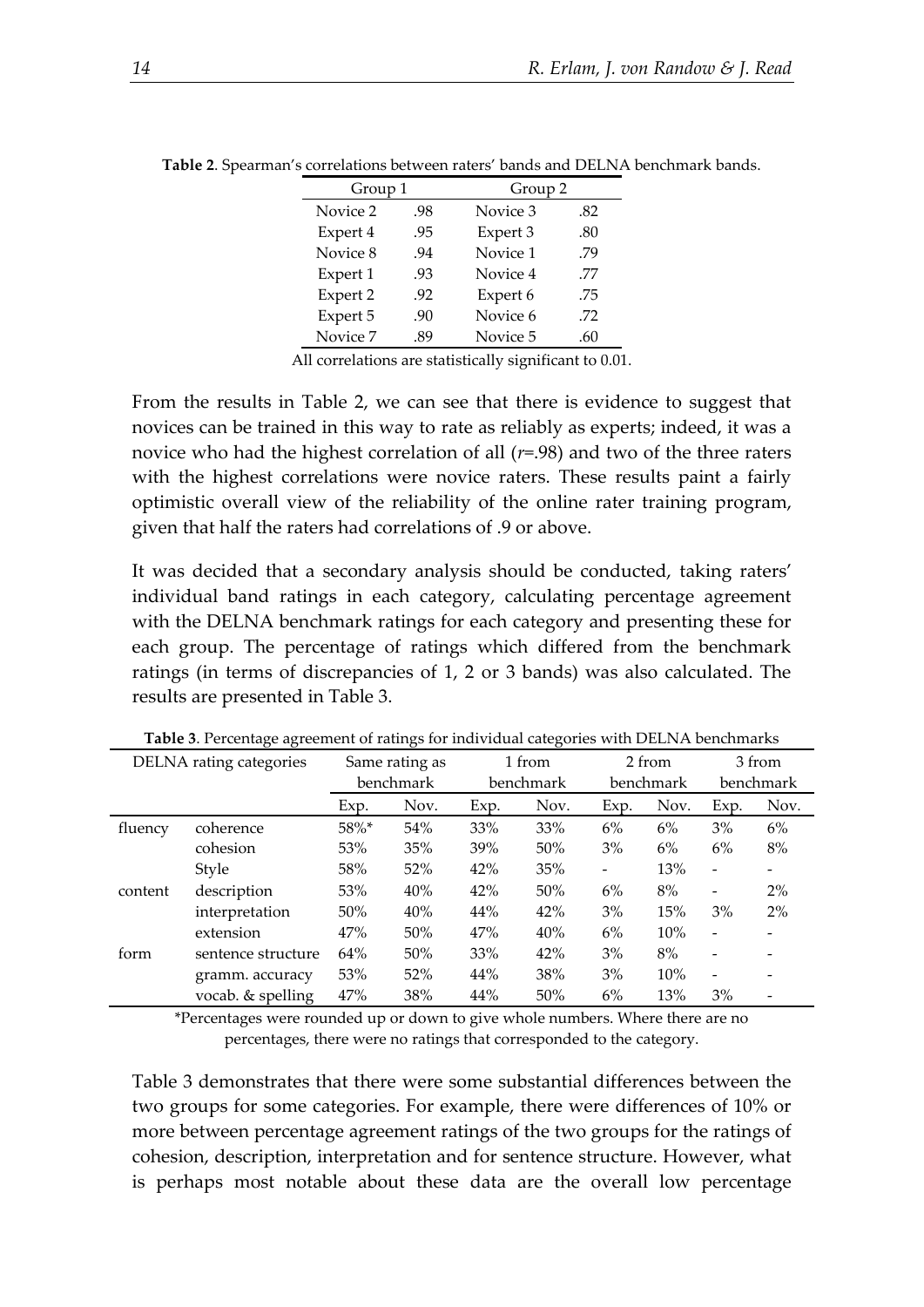| Group 1  |     | Group 2  |     |
|----------|-----|----------|-----|
| Novice 2 | .98 | Novice 3 | .82 |
| Expert 4 | .95 | Expert 3 | .80 |
| Novice 8 | .94 | Novice 1 | .79 |
| Expert 1 | .93 | Novice 4 | .77 |
| Expert 2 | .92 | Expert 6 | .75 |
| Expert 5 | .90 | Novice 6 | .72 |
| Novice 7 | .89 | Novice 5 | .60 |

**Table 2**. Spearman's correlations between raters' bands and DELNA benchmark bands.

All correlations are statistically significant to 0.01.

From the results in Table 2, we can see that there is evidence to suggest that novices can be trained in this way to rate as reliably as experts; indeed, it was a novice who had the highest correlation of all (*r*=.98) and two of the three raters with the highest correlations were novice raters. These results paint a fairly optimistic overall view of the reliability of the online rater training program, given that half the raters had correlations of .9 or above.

It was decided that a secondary analysis should be conducted, taking raters' individual band ratings in each category, calculating percentage agreement with the DELNA benchmark ratings for each category and presenting these for each group. The percentage of ratings which differed from the benchmark ratings (in terms of discrepancies of 1, 2 or 3 bands) was also calculated. The results are presented in Table 3.

|         | DELNA rating categories |      | Same rating as |      | 1 from    |                   | 2 from    |                          | 3 from            |
|---------|-------------------------|------|----------------|------|-----------|-------------------|-----------|--------------------------|-------------------|
|         |                         |      | benchmark      |      | benchmark |                   | benchmark |                          | benchmark         |
|         |                         | Exp. | Nov.           | Exp. | Nov.      | Exp.              | Nov.      | Exp.                     | Nov.              |
| fluency | coherence               | 58%* | 54%            | 33%  | 33%       | 6%                | 6%        | 3%                       | 6%                |
|         | cohesion                | 53%  | 35%            | 39%  | 50%       | 3%                | 6%        | 6%                       | 8%                |
|         | Style                   | 58%  | 52%            | 42%  | 35%       | $\qquad \qquad -$ | 13%       | $\overline{\phantom{a}}$ | $\qquad \qquad -$ |
| content | description             | 53%  | 40%            | 42%  | 50%       | 6%                | 8%        | $\overline{\phantom{a}}$ | 2%                |
|         | interpretation          | 50%  | 40%            | 44%  | 42%       | 3%                | 15%       | 3%                       | 2%                |
|         | extension               | 47%  | 50%            | 47%  | 40%       | 6%                | 10%       | $\qquad \qquad -$        |                   |
| form    | sentence structure      | 64%  | 50%            | 33%  | 42%       | 3%                | 8%        | $\overline{\phantom{a}}$ |                   |
|         | gramm. accuracy         | 53%  | 52%            | 44%  | 38%       | 3%                | 10%       | $\overline{\phantom{a}}$ |                   |
|         | vocab. & spelling       | 47%  | 38%            | 44%  | 50%       | 6%                | 13%       | 3%                       |                   |

**Table 3**. Percentage agreement of ratings for individual categories with DELNA benchmarks

\*Percentages were rounded up or down to give whole numbers. Where there are no percentages, there were no ratings that corresponded to the category.

Table 3 demonstrates that there were some substantial differences between the two groups for some categories. For example, there were differences of 10% or more between percentage agreement ratings of the two groups for the ratings of cohesion, description, interpretation and for sentence structure. However, what is perhaps most notable about these data are the overall low percentage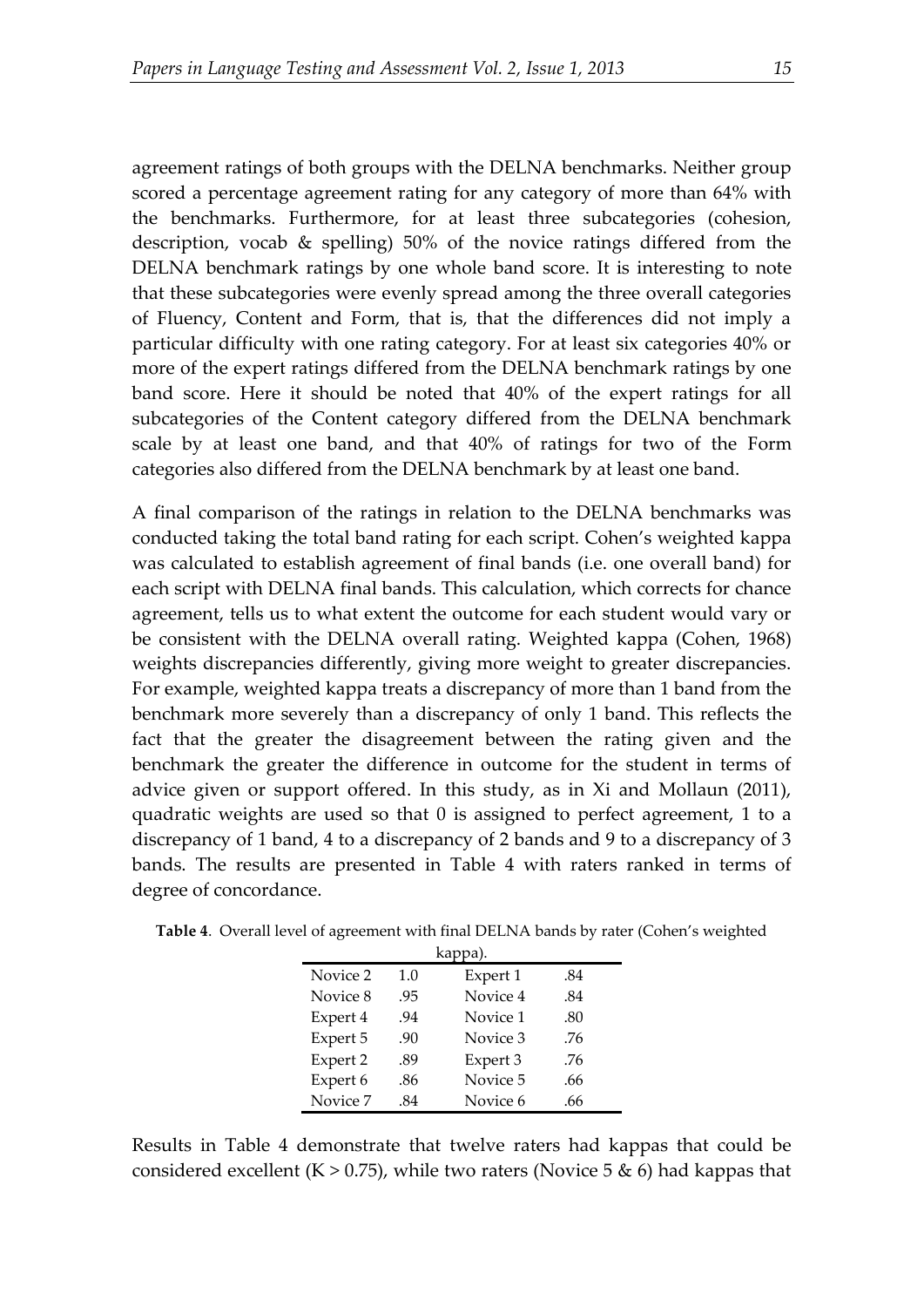agreement ratings of both groups with the DELNA benchmarks. Neither group scored a percentage agreement rating for any category of more than 64% with the benchmarks. Furthermore, for at least three subcategories (cohesion, description, vocab & spelling) 50% of the novice ratings differed from the DELNA benchmark ratings by one whole band score. It is interesting to note that these subcategories were evenly spread among the three overall categories of Fluency, Content and Form, that is, that the differences did not imply a particular difficulty with one rating category. For at least six categories 40% or more of the expert ratings differed from the DELNA benchmark ratings by one band score. Here it should be noted that 40% of the expert ratings for all subcategories of the Content category differed from the DELNA benchmark scale by at least one band, and that 40% of ratings for two of the Form categories also differed from the DELNA benchmark by at least one band.

A final comparison of the ratings in relation to the DELNA benchmarks was conducted taking the total band rating for each script. Cohen's weighted kappa was calculated to establish agreement of final bands (i.e. one overall band) for each script with DELNA final bands. This calculation, which corrects for chance agreement, tells us to what extent the outcome for each student would vary or be consistent with the DELNA overall rating. Weighted kappa (Cohen, 1968) weights discrepancies differently, giving more weight to greater discrepancies. For example, weighted kappa treats a discrepancy of more than 1 band from the benchmark more severely than a discrepancy of only 1 band. This reflects the fact that the greater the disagreement between the rating given and the benchmark the greater the difference in outcome for the student in terms of advice given or support offered. In this study, as in Xi and Mollaun (2011), quadratic weights are used so that 0 is assigned to perfect agreement, 1 to a discrepancy of 1 band, 4 to a discrepancy of 2 bands and 9 to a discrepancy of 3 bands. The results are presented in Table 4 with raters ranked in terms of degree of concordance.

| kappa).  |     |          |     |  |
|----------|-----|----------|-----|--|
| Novice 2 | 1.0 | Expert 1 | .84 |  |
| Novice 8 | .95 | Novice 4 | .84 |  |
| Expert 4 | .94 | Novice 1 | .80 |  |
| Expert 5 | .90 | Novice 3 | .76 |  |
| Expert 2 | .89 | Expert 3 | .76 |  |
| Expert 6 | .86 | Novice 5 | .66 |  |
| Novice 7 | .84 | Novice 6 | .66 |  |

**Table 4**. Overall level of agreement with final DELNA bands by rater (Cohen's weighted

Results in Table 4 demonstrate that twelve raters had kappas that could be considered excellent (K  $> 0.75$ ), while two raters (Novice 5 & 6) had kappas that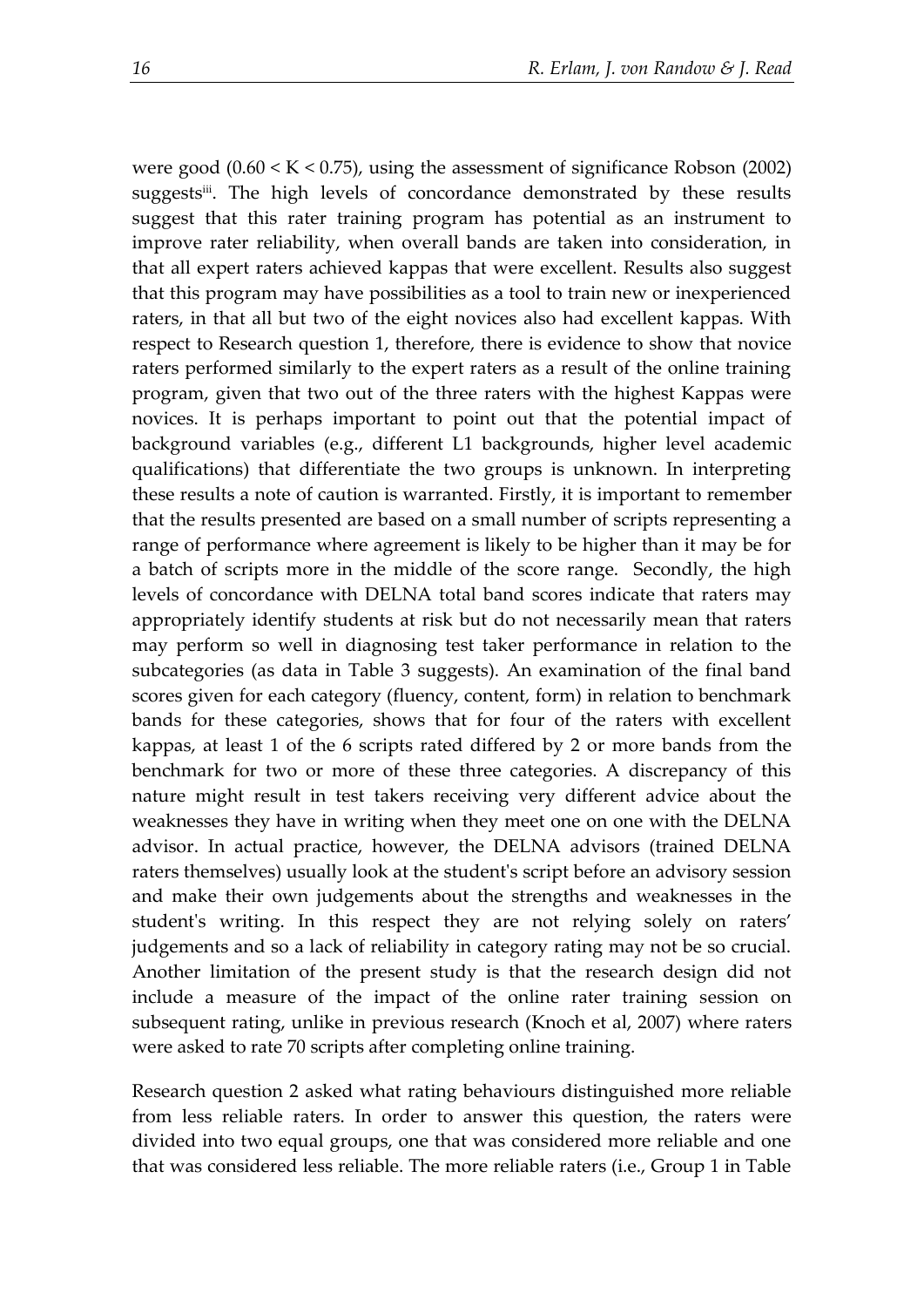were good (0.60 < K < 0.75), using the assessment of significance Robson (2002) suggests<sup>iii</sup>. The high levels of concordance demonstrated by these results suggest that this rater training program has potential as an instrument to improve rater reliability, when overall bands are taken into consideration, in that all expert raters achieved kappas that were excellent. Results also suggest that this program may have possibilities as a tool to train new or inexperienced raters, in that all but two of the eight novices also had excellent kappas. With respect to Research question 1, therefore, there is evidence to show that novice raters performed similarly to the expert raters as a result of the online training program, given that two out of the three raters with the highest Kappas were novices. It is perhaps important to point out that the potential impact of background variables (e.g., different L1 backgrounds, higher level academic qualifications) that differentiate the two groups is unknown. In interpreting these results a note of caution is warranted. Firstly, it is important to remember that the results presented are based on a small number of scripts representing a range of performance where agreement is likely to be higher than it may be for a batch of scripts more in the middle of the score range. Secondly, the high levels of concordance with DELNA total band scores indicate that raters may appropriately identify students at risk but do not necessarily mean that raters may perform so well in diagnosing test taker performance in relation to the subcategories (as data in Table 3 suggests). An examination of the final band scores given for each category (fluency, content, form) in relation to benchmark bands for these categories, shows that for four of the raters with excellent kappas, at least 1 of the 6 scripts rated differed by 2 or more bands from the benchmark for two or more of these three categories. A discrepancy of this nature might result in test takers receiving very different advice about the weaknesses they have in writing when they meet one on one with the DELNA advisor. In actual practice, however, the DELNA advisors (trained DELNA raters themselves) usually look at the student's script before an advisory session and make their own judgements about the strengths and weaknesses in the student's writing. In this respect they are not relying solely on raters' judgements and so a lack of reliability in category rating may not be so crucial. Another limitation of the present study is that the research design did not include a measure of the impact of the online rater training session on subsequent rating, unlike in previous research (Knoch et al, 2007) where raters were asked to rate 70 scripts after completing online training.

Research question 2 asked what rating behaviours distinguished more reliable from less reliable raters. In order to answer this question, the raters were divided into two equal groups, one that was considered more reliable and one that was considered less reliable. The more reliable raters (i.e., Group 1 in Table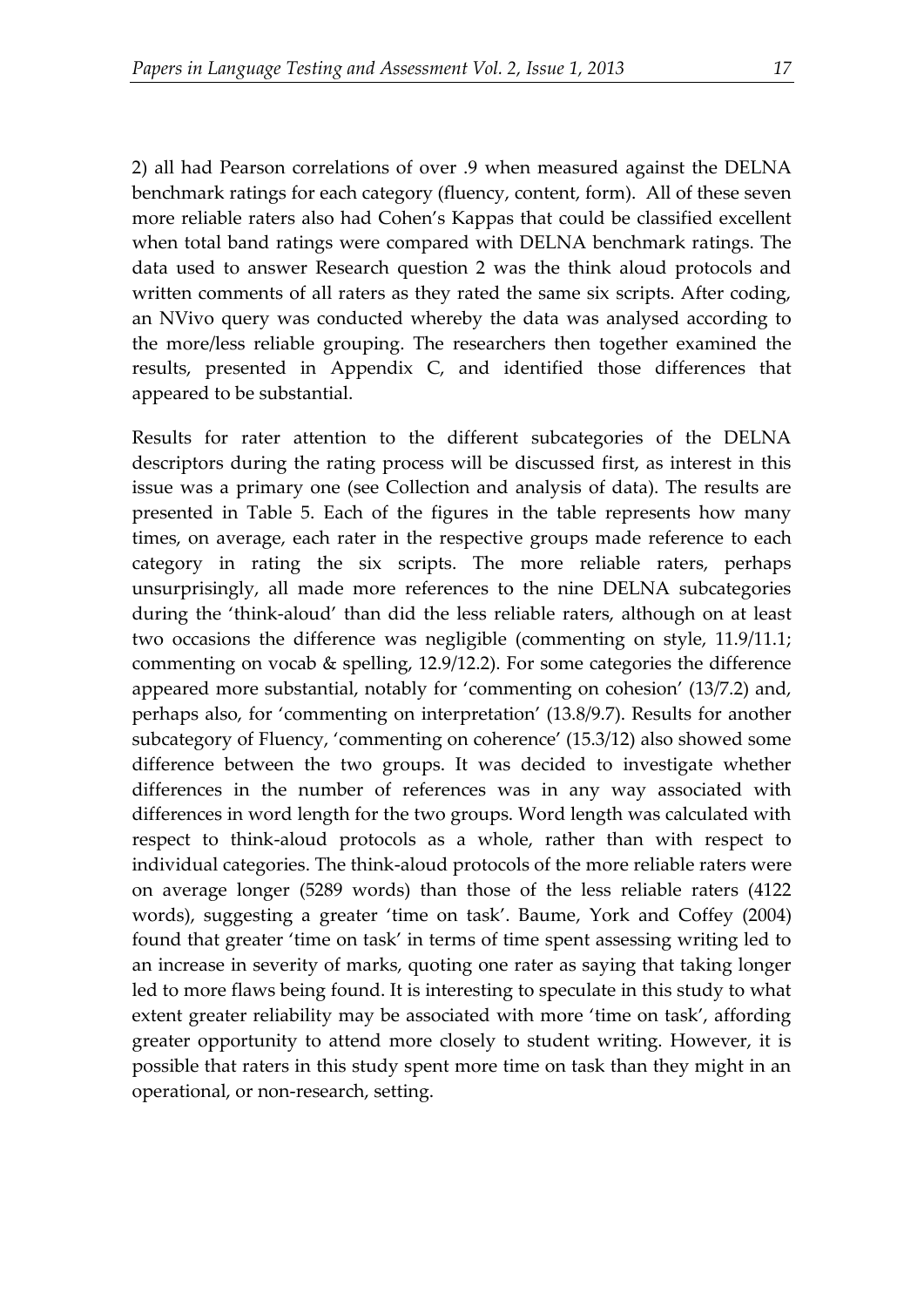2) all had Pearson correlations of over .9 when measured against the DELNA benchmark ratings for each category (fluency, content, form). All of these seven more reliable raters also had Cohen's Kappas that could be classified excellent when total band ratings were compared with DELNA benchmark ratings. The data used to answer Research question 2 was the think aloud protocols and written comments of all raters as they rated the same six scripts. After coding, an NVivo query was conducted whereby the data was analysed according to the more/less reliable grouping. The researchers then together examined the results, presented in Appendix C, and identified those differences that appeared to be substantial.

Results for rater attention to the different subcategories of the DELNA descriptors during the rating process will be discussed first, as interest in this issue was a primary one (see Collection and analysis of data). The results are presented in Table 5. Each of the figures in the table represents how many times, on average, each rater in the respective groups made reference to each category in rating the six scripts. The more reliable raters, perhaps unsurprisingly, all made more references to the nine DELNA subcategories during the 'think-aloud' than did the less reliable raters, although on at least two occasions the difference was negligible (commenting on style, 11.9/11.1; commenting on vocab & spelling, 12.9/12.2). For some categories the difference appeared more substantial, notably for 'commenting on cohesion' (13/7.2) and, perhaps also, for 'commenting on interpretation' (13.8/9.7). Results for another subcategory of Fluency, 'commenting on coherence' (15.3/12) also showed some difference between the two groups. It was decided to investigate whether differences in the number of references was in any way associated with differences in word length for the two groups. Word length was calculated with respect to think-aloud protocols as a whole, rather than with respect to individual categories. The think-aloud protocols of the more reliable raters were on average longer (5289 words) than those of the less reliable raters (4122 words), suggesting a greater 'time on task'. Baume, York and Coffey (2004) found that greater 'time on task' in terms of time spent assessing writing led to an increase in severity of marks, quoting one rater as saying that taking longer led to more flaws being found. It is interesting to speculate in this study to what extent greater reliability may be associated with more 'time on task', affording greater opportunity to attend more closely to student writing. However, it is possible that raters in this study spent more time on task than they might in an operational, or non-research, setting.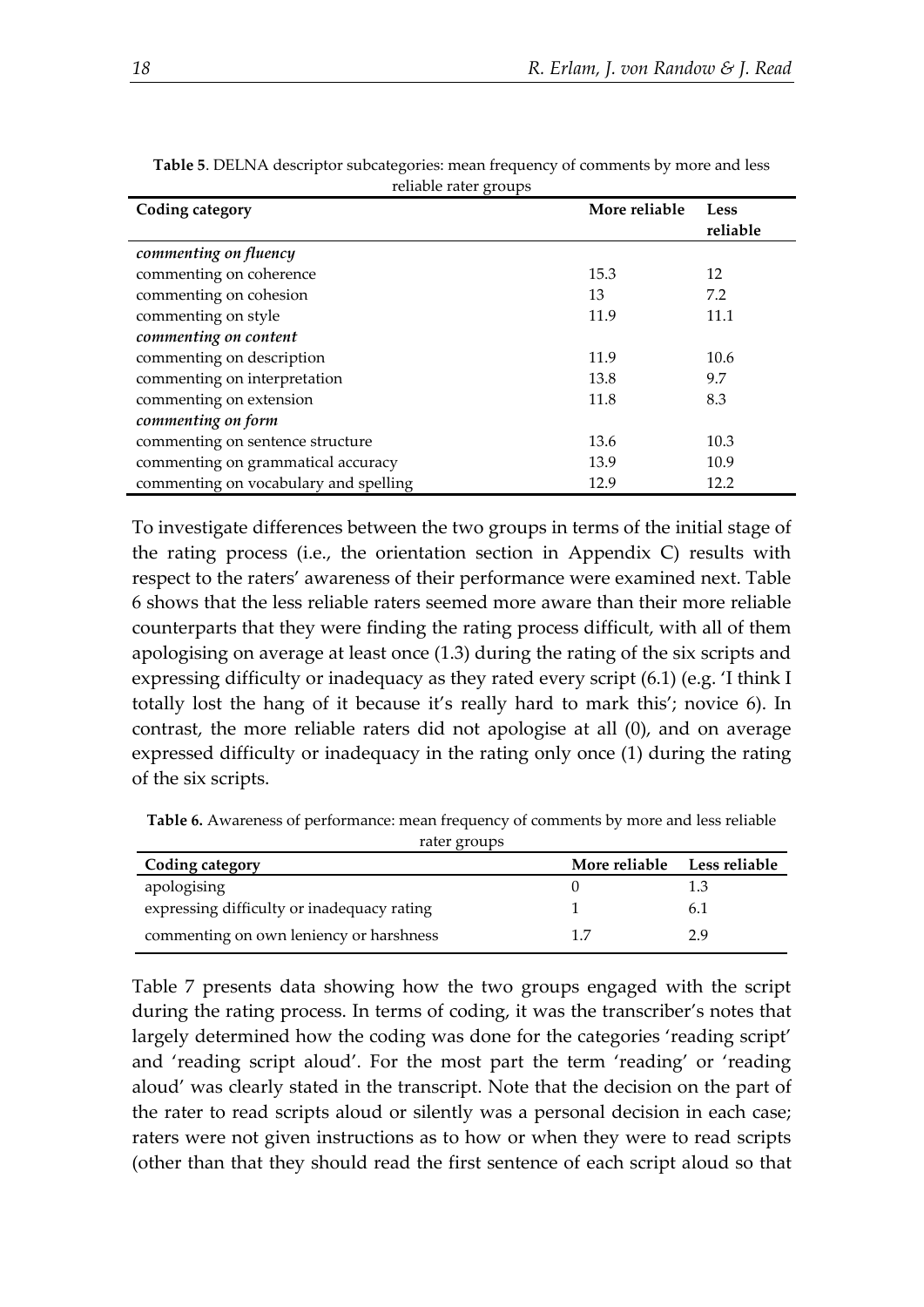| ◡<br>Coding category                  | More reliable | Less<br>reliable |
|---------------------------------------|---------------|------------------|
| commenting on fluency                 |               |                  |
| commenting on coherence               | 15.3          | 12               |
| commenting on cohesion                | 13            | 7.2              |
| commenting on style                   | 11.9          | 11.1             |
| commenting on content                 |               |                  |
| commenting on description             | 11.9          | 10.6             |
| commenting on interpretation          | 13.8          | 9.7              |
| commenting on extension               | 11.8          | 8.3              |
| commenting on form                    |               |                  |
| commenting on sentence structure      | 13.6          | 10.3             |
| commenting on grammatical accuracy    | 13.9          | 10.9             |
| commenting on vocabulary and spelling | 12.9          | 12.2             |

**Table 5**. DELNA descriptor subcategories: mean frequency of comments by more and less reliable rater groups

To investigate differences between the two groups in terms of the initial stage of the rating process (i.e., the orientation section in Appendix C) results with respect to the raters' awareness of their performance were examined next. Table 6 shows that the less reliable raters seemed more aware than their more reliable counterparts that they were finding the rating process difficult, with all of them apologising on average at least once (1.3) during the rating of the six scripts and expressing difficulty or inadequacy as they rated every script (6.1) (e.g. 'I think I totally lost the hang of it because it's really hard to mark this'; novice 6). In contrast, the more reliable raters did not apologise at all (0), and on average expressed difficulty or inadequacy in the rating only once (1) during the rating of the six scripts.

**Table 6.** Awareness of performance: mean frequency of comments by more and less reliable rater groups

| rater groups                               |                      |               |  |
|--------------------------------------------|----------------------|---------------|--|
| Coding category                            | <b>More reliable</b> | Less reliable |  |
| apologising                                |                      |               |  |
| expressing difficulty or inadequacy rating |                      | 6.1           |  |
| commenting on own leniency or harshness    |                      | 2 Q           |  |

Table 7 presents data showing how the two groups engaged with the script during the rating process. In terms of coding, it was the transcriber's notes that largely determined how the coding was done for the categories 'reading script' and 'reading script aloud'. For the most part the term 'reading' or 'reading aloud' was clearly stated in the transcript. Note that the decision on the part of the rater to read scripts aloud or silently was a personal decision in each case; raters were not given instructions as to how or when they were to read scripts (other than that they should read the first sentence of each script aloud so that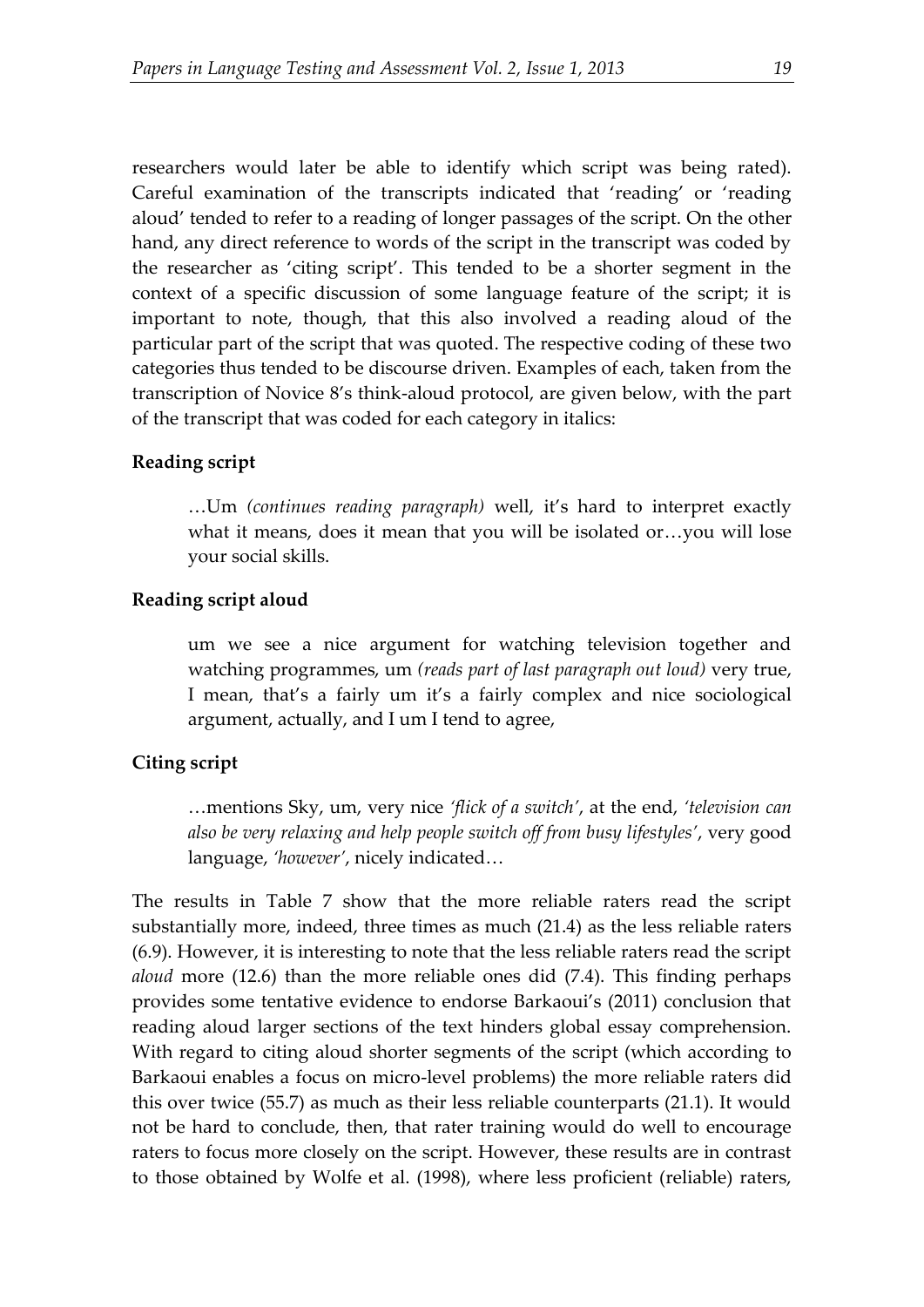researchers would later be able to identify which script was being rated). Careful examination of the transcripts indicated that 'reading' or 'reading aloud' tended to refer to a reading of longer passages of the script. On the other hand, any direct reference to words of the script in the transcript was coded by the researcher as 'citing script'. This tended to be a shorter segment in the context of a specific discussion of some language feature of the script; it is important to note, though, that this also involved a reading aloud of the particular part of the script that was quoted. The respective coding of these two categories thus tended to be discourse driven. Examples of each, taken from the transcription of Novice 8's think-aloud protocol, are given below, with the part of the transcript that was coded for each category in italics:

### **Reading script**

…Um *(continues reading paragraph)* well, it's hard to interpret exactly what it means, does it mean that you will be isolated or…you will lose your social skills.

#### **Reading script aloud**

um we see a nice argument for watching television together and watching programmes, um *(reads part of last paragraph out loud)* very true, I mean, that's a fairly um it's a fairly complex and nice sociological argument, actually, and I um I tend to agree,

### **Citing script**

…mentions Sky, um, very nice *'flick of a switch'*, at the end, *'television can also be very relaxing and help people switch off from busy lifestyles'*, very good language, *'however'*, nicely indicated…

The results in Table 7 show that the more reliable raters read the script substantially more, indeed, three times as much (21.4) as the less reliable raters (6.9). However, it is interesting to note that the less reliable raters read the script *aloud* more (12.6) than the more reliable ones did (7.4). This finding perhaps provides some tentative evidence to endorse Barkaoui's (2011) conclusion that reading aloud larger sections of the text hinders global essay comprehension. With regard to citing aloud shorter segments of the script (which according to Barkaoui enables a focus on micro-level problems) the more reliable raters did this over twice (55.7) as much as their less reliable counterparts (21.1). It would not be hard to conclude, then, that rater training would do well to encourage raters to focus more closely on the script. However, these results are in contrast to those obtained by Wolfe et al. (1998), where less proficient (reliable) raters,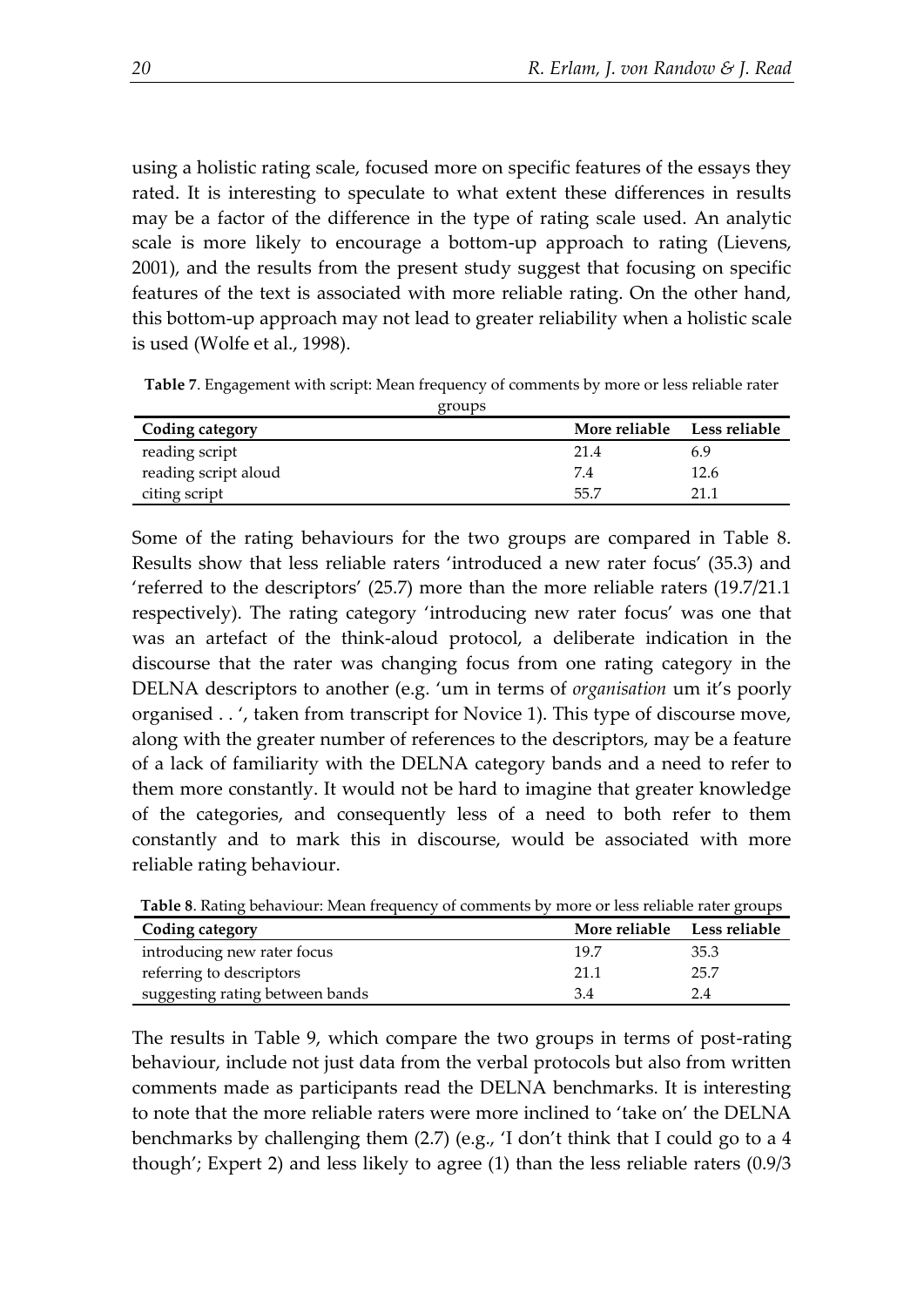using a holistic rating scale, focused more on specific features of the essays they rated. It is interesting to speculate to what extent these differences in results may be a factor of the difference in the type of rating scale used. An analytic scale is more likely to encourage a bottom-up approach to rating (Lievens, 2001), and the results from the present study suggest that focusing on specific features of the text is associated with more reliable rating. On the other hand, this bottom-up approach may not lead to greater reliability when a holistic scale is used (Wolfe et al., 1998).

**Table 7**. Engagement with script: Mean frequency of comments by more or less reliable rater

| groups               |                      |               |
|----------------------|----------------------|---------------|
| Coding category      | <b>More reliable</b> | Less reliable |
| reading script       | 21.4                 | 6.9           |
| reading script aloud | 7.4                  | 12.6          |
| citing script        | -55.7                | 21 1          |

Some of the rating behaviours for the two groups are compared in Table 8. Results show that less reliable raters 'introduced a new rater focus' (35.3) and 'referred to the descriptors' (25.7) more than the more reliable raters (19.7/21.1 respectively). The rating category 'introducing new rater focus' was one that was an artefact of the think-aloud protocol, a deliberate indication in the discourse that the rater was changing focus from one rating category in the DELNA descriptors to another (e.g. 'um in terms of *organisation* um it's poorly organised . . ', taken from transcript for Novice 1). This type of discourse move, along with the greater number of references to the descriptors, may be a feature of a lack of familiarity with the DELNA category bands and a need to refer to them more constantly. It would not be hard to imagine that greater knowledge of the categories, and consequently less of a need to both refer to them constantly and to mark this in discourse, would be associated with more reliable rating behaviour.

| Tuble 0. Rathly behaviour. Bican hequency of comments by more of less remade fact groups |                             |      |  |
|------------------------------------------------------------------------------------------|-----------------------------|------|--|
| Coding category                                                                          | More reliable Less reliable |      |  |
| introducing new rater focus                                                              | 19.7                        | 35.3 |  |
| referring to descriptors                                                                 | 21.1                        | 25.7 |  |
| suggesting rating between bands                                                          | 3.4                         | 24   |  |

**Table 8**. Rating behaviour: Mean frequency of comments by more or less reliable rater groups

The results in Table 9, which compare the two groups in terms of post-rating behaviour, include not just data from the verbal protocols but also from written comments made as participants read the DELNA benchmarks. It is interesting to note that the more reliable raters were more inclined to 'take on' the DELNA benchmarks by challenging them (2.7) (e.g., 'I don't think that I could go to a 4 though'; Expert 2) and less likely to agree (1) than the less reliable raters (0.9/3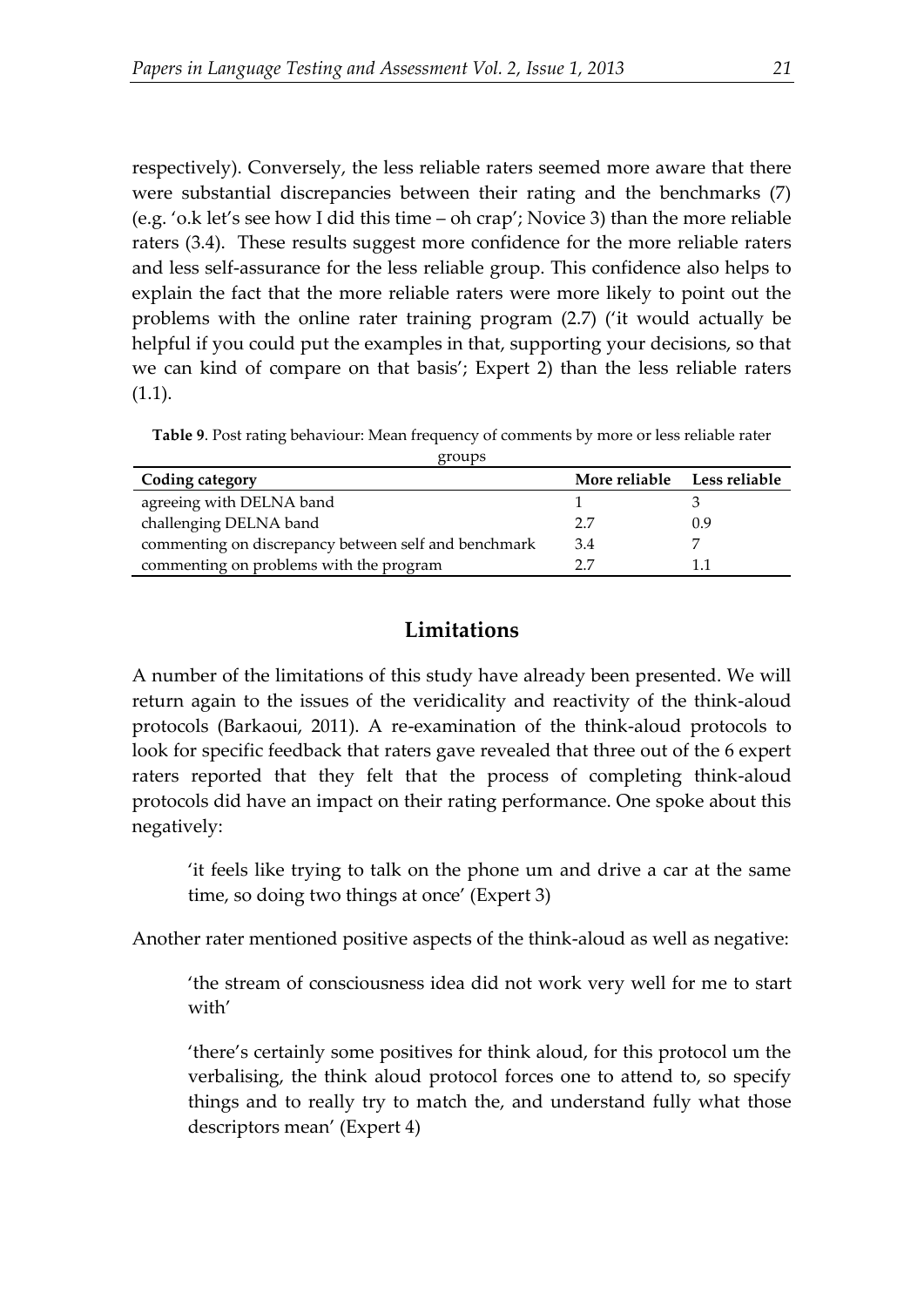respectively). Conversely, the less reliable raters seemed more aware that there were substantial discrepancies between their rating and the benchmarks (7) (e.g. 'o.k let's see how I did this time – oh crap'; Novice 3) than the more reliable raters (3.4). These results suggest more confidence for the more reliable raters and less self-assurance for the less reliable group. This confidence also helps to explain the fact that the more reliable raters were more likely to point out the problems with the online rater training program (2.7) ('it would actually be helpful if you could put the examples in that, supporting your decisions, so that we can kind of compare on that basis'; Expert 2) than the less reliable raters (1.1).

**Table 9**. Post rating behaviour: Mean frequency of comments by more or less reliable rater  $q$ roups

| $\leftarrow$ $\sim$ $\sim$ $\sim$                    |                             |     |  |  |
|------------------------------------------------------|-----------------------------|-----|--|--|
| Coding category                                      | More reliable Less reliable |     |  |  |
| agreeing with DELNA band                             |                             |     |  |  |
| challenging DELNA band                               | 7 7                         | 0.9 |  |  |
| commenting on discrepancy between self and benchmark | 3.4                         |     |  |  |
| commenting on problems with the program              |                             |     |  |  |

## **Limitations**

A number of the limitations of this study have already been presented. We will return again to the issues of the veridicality and reactivity of the think-aloud protocols (Barkaoui, 2011). A re-examination of the think-aloud protocols to look for specific feedback that raters gave revealed that three out of the 6 expert raters reported that they felt that the process of completing think-aloud protocols did have an impact on their rating performance. One spoke about this negatively:

'it feels like trying to talk on the phone um and drive a car at the same time, so doing two things at once' (Expert 3)

Another rater mentioned positive aspects of the think-aloud as well as negative:

'the stream of consciousness idea did not work very well for me to start with'

'there's certainly some positives for think aloud, for this protocol um the verbalising, the think aloud protocol forces one to attend to, so specify things and to really try to match the, and understand fully what those descriptors mean' (Expert 4)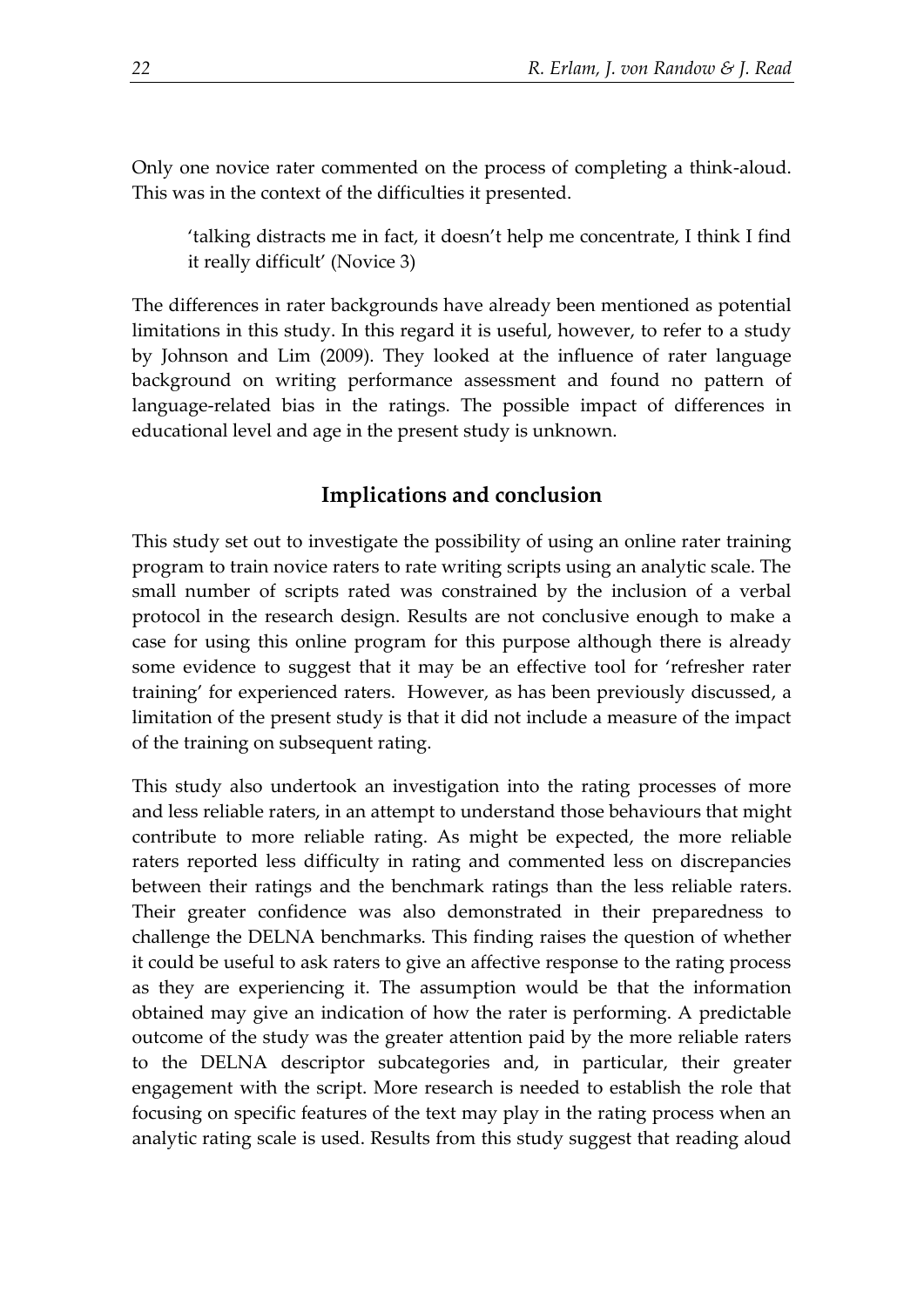Only one novice rater commented on the process of completing a think-aloud. This was in the context of the difficulties it presented.

'talking distracts me in fact, it doesn't help me concentrate, I think I find it really difficult' (Novice 3)

The differences in rater backgrounds have already been mentioned as potential limitations in this study. In this regard it is useful, however, to refer to a study by Johnson and Lim (2009). They looked at the influence of rater language background on writing performance assessment and found no pattern of language-related bias in the ratings. The possible impact of differences in educational level and age in the present study is unknown.

## **Implications and conclusion**

This study set out to investigate the possibility of using an online rater training program to train novice raters to rate writing scripts using an analytic scale. The small number of scripts rated was constrained by the inclusion of a verbal protocol in the research design. Results are not conclusive enough to make a case for using this online program for this purpose although there is already some evidence to suggest that it may be an effective tool for 'refresher rater training' for experienced raters. However, as has been previously discussed, a limitation of the present study is that it did not include a measure of the impact of the training on subsequent rating.

This study also undertook an investigation into the rating processes of more and less reliable raters, in an attempt to understand those behaviours that might contribute to more reliable rating. As might be expected, the more reliable raters reported less difficulty in rating and commented less on discrepancies between their ratings and the benchmark ratings than the less reliable raters. Their greater confidence was also demonstrated in their preparedness to challenge the DELNA benchmarks. This finding raises the question of whether it could be useful to ask raters to give an affective response to the rating process as they are experiencing it. The assumption would be that the information obtained may give an indication of how the rater is performing. A predictable outcome of the study was the greater attention paid by the more reliable raters to the DELNA descriptor subcategories and, in particular, their greater engagement with the script. More research is needed to establish the role that focusing on specific features of the text may play in the rating process when an analytic rating scale is used. Results from this study suggest that reading aloud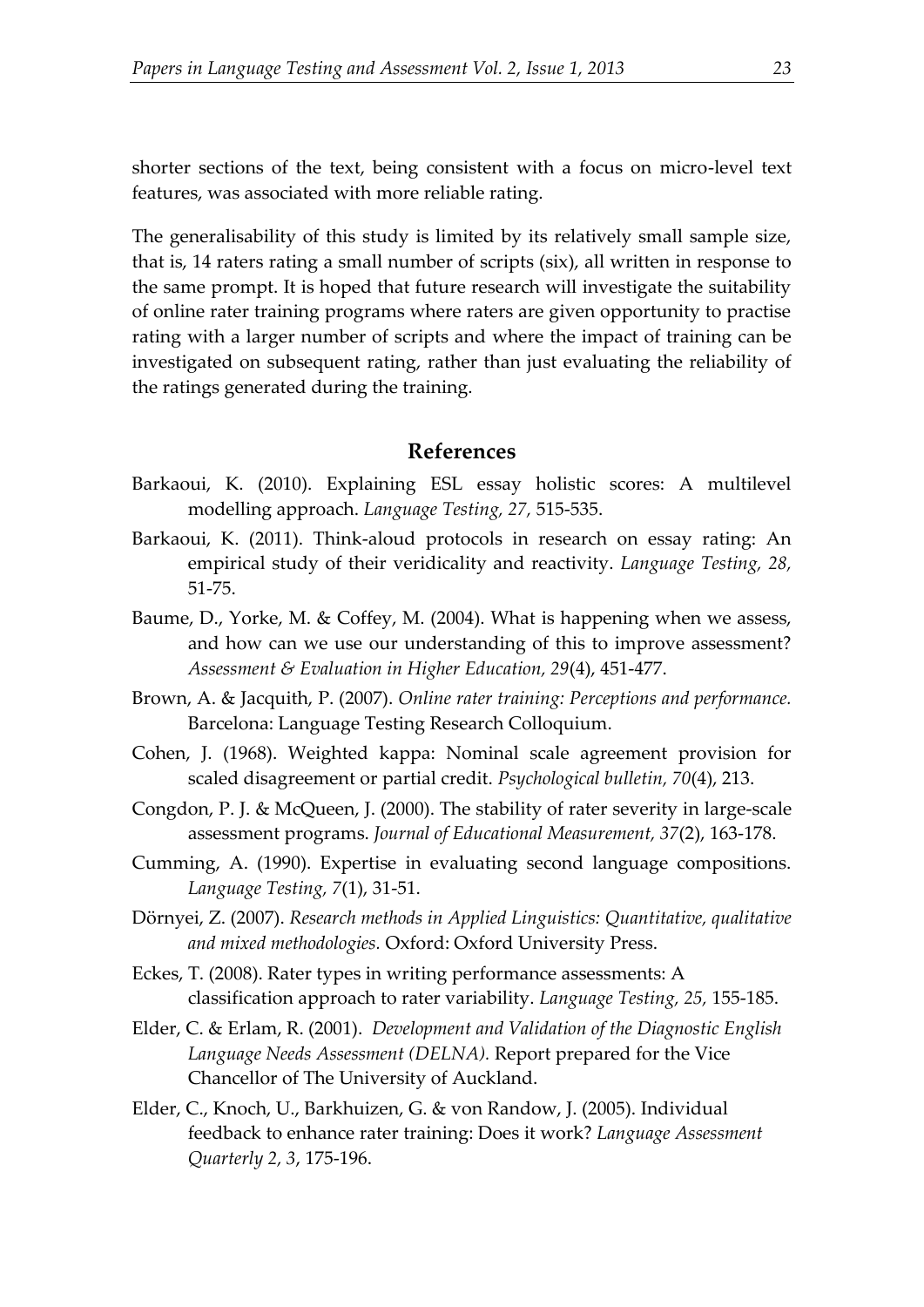shorter sections of the text, being consistent with a focus on micro-level text features, was associated with more reliable rating.

The generalisability of this study is limited by its relatively small sample size, that is, 14 raters rating a small number of scripts (six), all written in response to the same prompt. It is hoped that future research will investigate the suitability of online rater training programs where raters are given opportunity to practise rating with a larger number of scripts and where the impact of training can be investigated on subsequent rating, rather than just evaluating the reliability of the ratings generated during the training.

#### **References**

- Barkaoui, K. (2010). Explaining ESL essay holistic scores: A multilevel modelling approach. *Language Testing, 27,* 515-535.
- Barkaoui, K. (2011). Think-aloud protocols in research on essay rating: An empirical study of their veridicality and reactivity. *Language Testing, 28,* 51-75.
- Baume, D., Yorke, M. & Coffey, M. (2004). What is happening when we assess, and how can we use our understanding of this to improve assessment? *Assessment & Evaluation in Higher Education, 29*(4), 451-477.
- Brown, A. & Jacquith, P. (2007). *Online rater training: Perceptions and performance.* Barcelona: Language Testing Research Colloquium.
- Cohen, J. (1968). Weighted kappa: Nominal scale agreement provision for scaled disagreement or partial credit. *Psychological bulletin, 70*(4), 213.
- Congdon, P. J. & McQueen, J. (2000). The stability of rater severity in large-scale assessment programs. *Journal of Educational Measurement, 37*(2), 163-178.
- Cumming, A. (1990). Expertise in evaluating second language compositions. *Language Testing, 7*(1), 31-51.
- Dörnyei, Z. (2007). *Research methods in Applied Linguistics: Quantitative, qualitative and mixed methodologies.* Oxford: Oxford University Press.
- Eckes, T. (2008). Rater types in writing performance assessments: A classification approach to rater variability. *Language Testing, 25,* 155-185.
- Elder, C. & Erlam, R. (2001). *Development and Validation of the Diagnostic English Language Needs Assessment (DELNA).* Report prepared for the Vice Chancellor of The University of Auckland.
- Elder, C., Knoch, U., Barkhuizen, G. & von Randow, J. (2005). Individual feedback to enhance rater training: Does it work? *Language Assessment Quarterly 2, 3*, 175-196.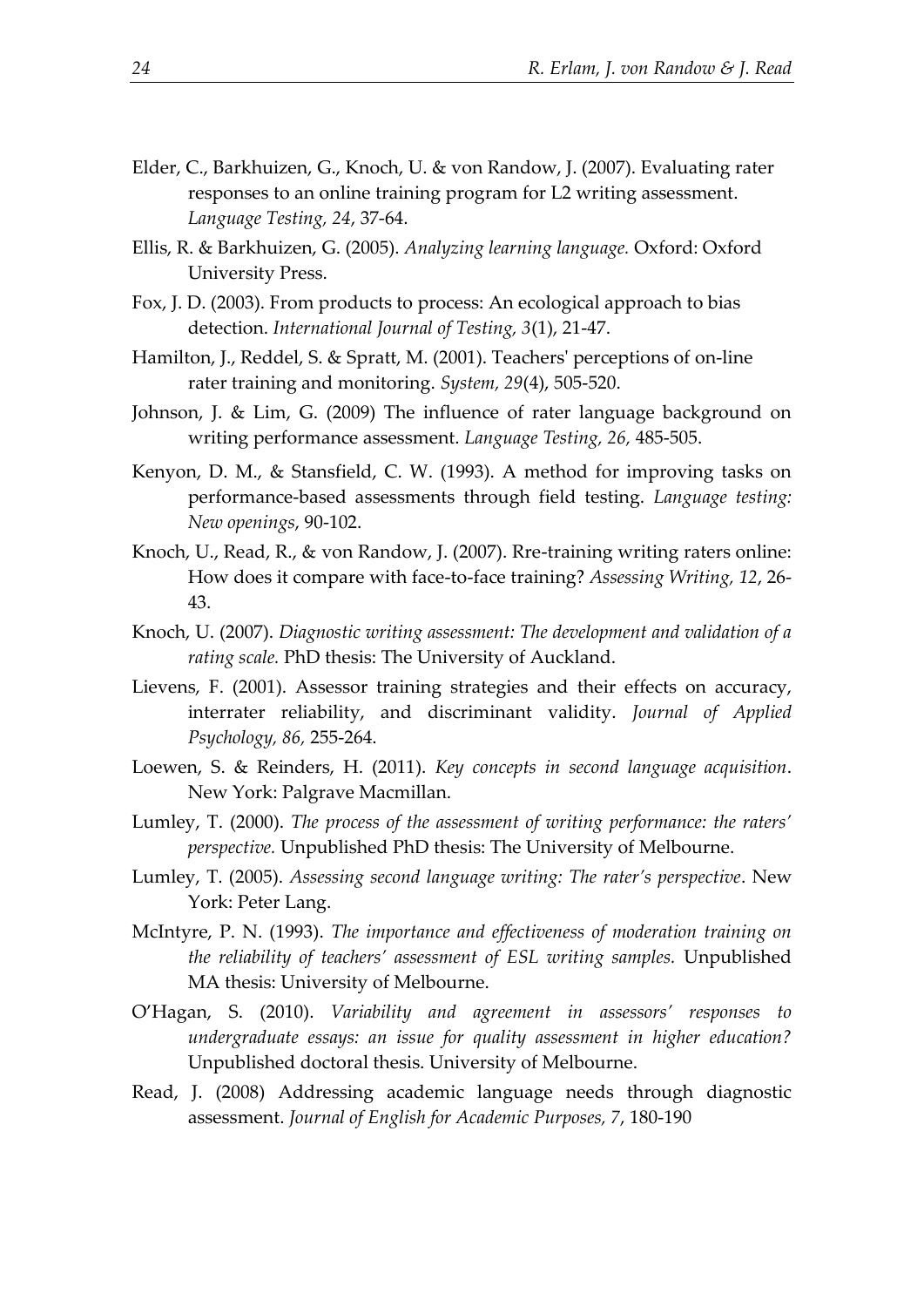- Elder, C., Barkhuizen, G., Knoch, U. & von Randow, J. (2007). Evaluating rater responses to an online training program for L2 writing assessment. *Language Testing, 24*, 37-64.
- Ellis, R. & Barkhuizen, G. (2005). *Analyzing learning language.* Oxford: Oxford University Press.
- Fox, J. D. (2003). From products to process: An ecological approach to bias detection. *International Journal of Testing, 3*(1), 21-47.
- Hamilton, J., Reddel, S. & Spratt, M. (2001). Teachers' perceptions of on-line rater training and monitoring. *System, 29*(4), 505-520.
- Johnson, J. & Lim, G. (2009) The influence of rater language background on writing performance assessment. *Language Testing, 26,* 485-505.
- Kenyon, D. M., & Stansfield, C. W. (1993). A method for improving tasks on performance-based assessments through field testing. *Language testing: New openings*, 90-102.
- Knoch, U., Read, R., & von Randow, J. (2007). Rre-training writing raters online: How does it compare with face-to-face training? *Assessing Writing, 12*, 26- 43.
- Knoch, U. (2007). *Diagnostic writing assessment: The development and validation of a rating scale.* PhD thesis: The University of Auckland.
- Lievens, F. (2001). Assessor training strategies and their effects on accuracy, interrater reliability, and discriminant validity. *Journal of Applied Psychology, 86,* 255-264.
- Loewen, S. & Reinders, H. (2011). *Key concepts in second language acquisition*. New York: Palgrave Macmillan.
- Lumley, T. (2000). *The process of the assessment of writing performance: the raters' perspective.* Unpublished PhD thesis: The University of Melbourne.
- Lumley, T. (2005). *Assessing second language writing: The rater's perspective*. New York: Peter Lang.
- McIntyre, P. N. (1993). *The importance and effectiveness of moderation training on the reliability of teachers' assessment of ESL writing samples.* Unpublished MA thesis: University of Melbourne.
- O'Hagan, S. (2010). *Variability and agreement in assessors' responses to undergraduate essays: an issue for quality assessment in higher education?* Unpublished doctoral thesis. University of Melbourne.
- Read, J. (2008) Addressing academic language needs through diagnostic assessment. *Journal of English for Academic Purposes, 7*, 180-190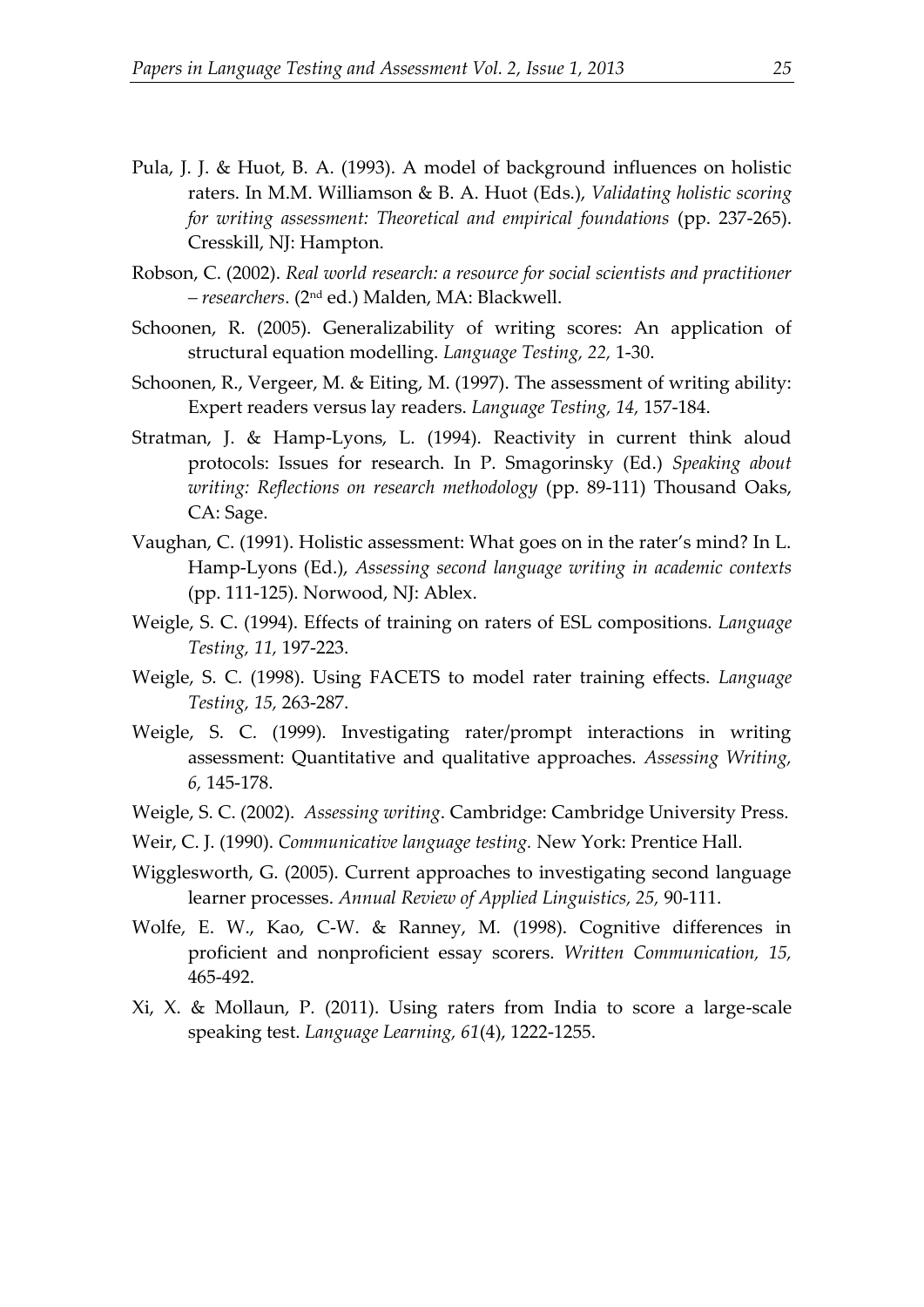- Pula, J. J. & Huot, B. A. (1993). A model of background influences on holistic raters. In M.M. Williamson & B. A. Huot (Eds.), *Validating holistic scoring for writing assessment: Theoretical and empirical foundations* (pp. 237-265). Cresskill, NJ: Hampton.
- Robson, C. (2002). *Real world research: a resource for social scientists and practitioner – researchers*. (2nd ed.) Malden, MA: Blackwell.
- Schoonen, R. (2005). Generalizability of writing scores: An application of structural equation modelling. *Language Testing, 22,* 1-30.
- Schoonen, R., Vergeer, M. & Eiting, M. (1997). The assessment of writing ability: Expert readers versus lay readers. *Language Testing, 14,* 157-184.
- Stratman, J. & Hamp-Lyons, L. (1994). Reactivity in current think aloud protocols: Issues for research. In P. Smagorinsky (Ed.) *Speaking about writing: Reflections on research methodology* (pp. 89-111) Thousand Oaks, CA: Sage.
- Vaughan, C. (1991). Holistic assessment: What goes on in the rater's mind? In L. Hamp-Lyons (Ed.), *Assessing second language writing in academic contexts* (pp. 111-125). Norwood, NJ: Ablex.
- Weigle, S. C. (1994). Effects of training on raters of ESL compositions. *Language Testing, 11,* 197-223.
- Weigle, S. C. (1998). Using FACETS to model rater training effects. *Language Testing, 15,* 263-287.
- Weigle, S. C. (1999). Investigating rater/prompt interactions in writing assessment: Quantitative and qualitative approaches. *Assessing Writing, 6,* 145-178.
- Weigle, S. C. (2002). *Assessing writing*. Cambridge: Cambridge University Press.
- Weir, C. J. (1990). *Communicative language testing.* New York: Prentice Hall.
- Wigglesworth, G. (2005). Current approaches to investigating second language learner processes. *Annual Review of Applied Linguistics, 25,* 90-111.
- Wolfe, E. W., Kao, C-W. & Ranney, M. (1998). Cognitive differences in proficient and nonproficient essay scorers. *Written Communication, 15,* 465-492.
- Xi, X. & Mollaun, P. (2011). Using raters from India to score a large-scale speaking test. *Language Learning, 61*(4), 1222-1255.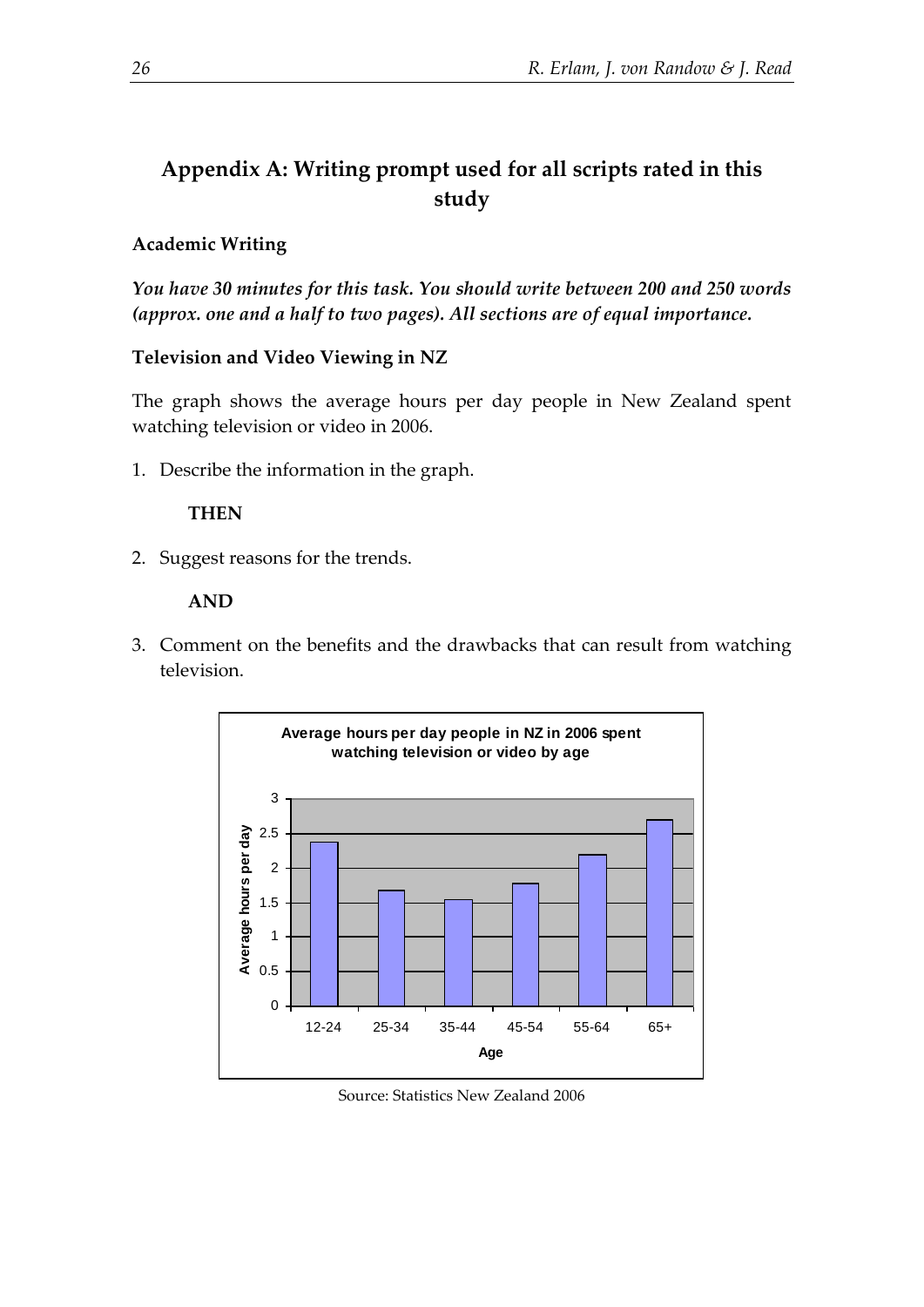# **Appendix A: Writing prompt used for all scripts rated in this study**

## **Academic Writing**

*You have 30 minutes for this task. You should write between 200 and 250 words (approx. one and a half to two pages). All sections are of equal importance.*

## **Television and Video Viewing in NZ**

The graph shows the average hours per day people in New Zealand spent watching television or video in 2006.

1. Describe the information in the graph.

## **THEN**

2. Suggest reasons for the trends.

## **AND**

3. Comment on the benefits and the drawbacks that can result from watching television.



Source: Statistics New Zealand 2006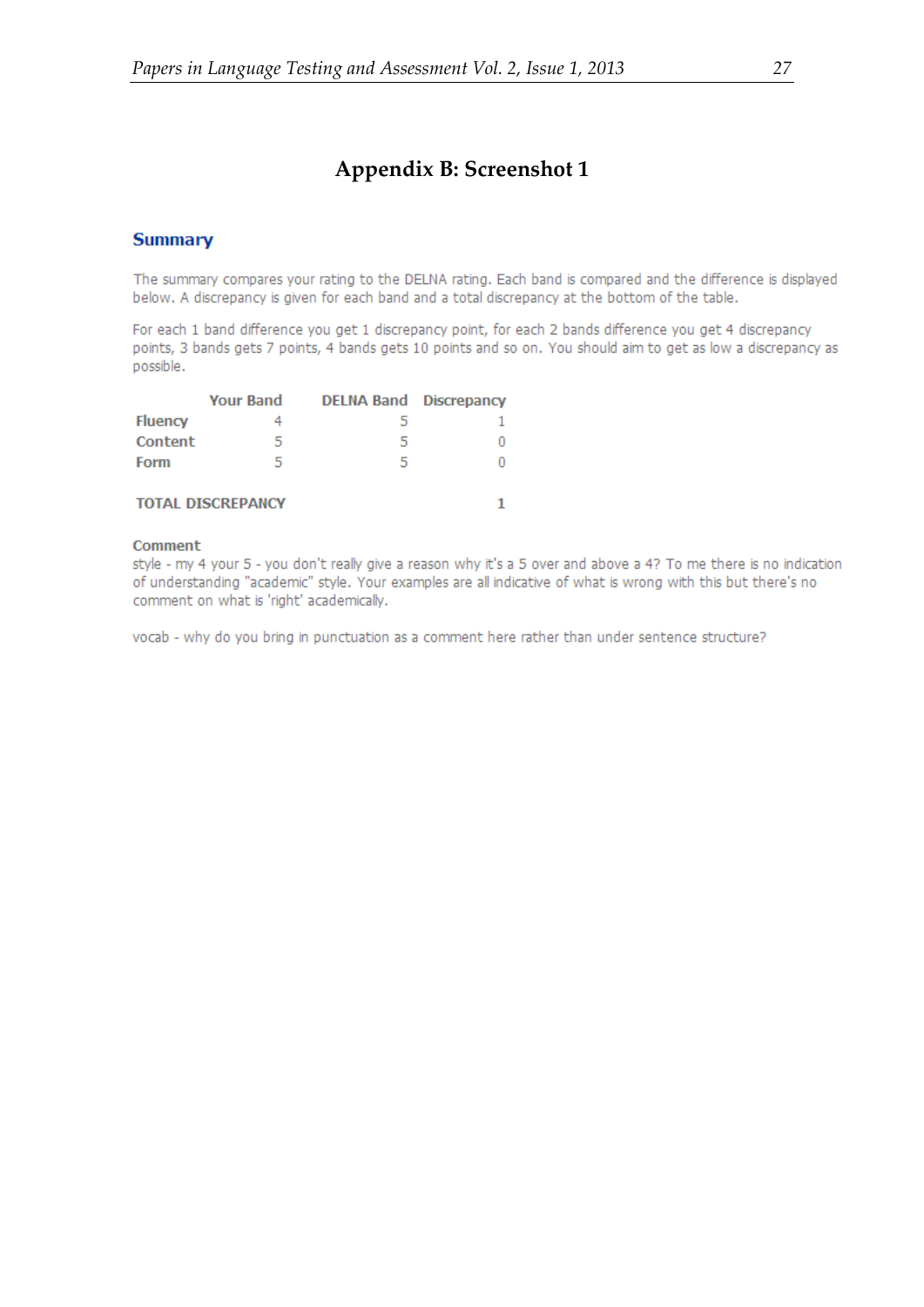## **Appendix B: Screenshot 1**

#### **Summary**

The summary compares your rating to the DELNA rating. Each band is compared and the difference is displayed below. A discrepancy is given for each band and a total discrepancy at the bottom of the table.

For each 1 band difference you get 1 discrepancy point, for each 2 bands difference you get 4 discrepancy points, 3 bands gets 7 points, 4 bands gets 10 points and so on. You should aim to get as low a discrepancy as possible.

|                | Your Band                | <b>DELNA Band Discrepancy</b> |  |
|----------------|--------------------------|-------------------------------|--|
| <b>Fluency</b> |                          | h                             |  |
| Content        | 5                        | 5                             |  |
| Form           | 5                        | 5                             |  |
|                |                          |                               |  |
|                | <b>TOTAL DISCREPANCY</b> |                               |  |

#### Comment

style - my 4 your 5 - you don't really give a reason why it's a 5 over and above a 4? To me there is no indication of understanding "academic" style. Your examples are all indicative of what is wrong with this but there's no comment on what is 'right' academically.

vocab - why do you bring in punctuation as a comment here rather than under sentence structure?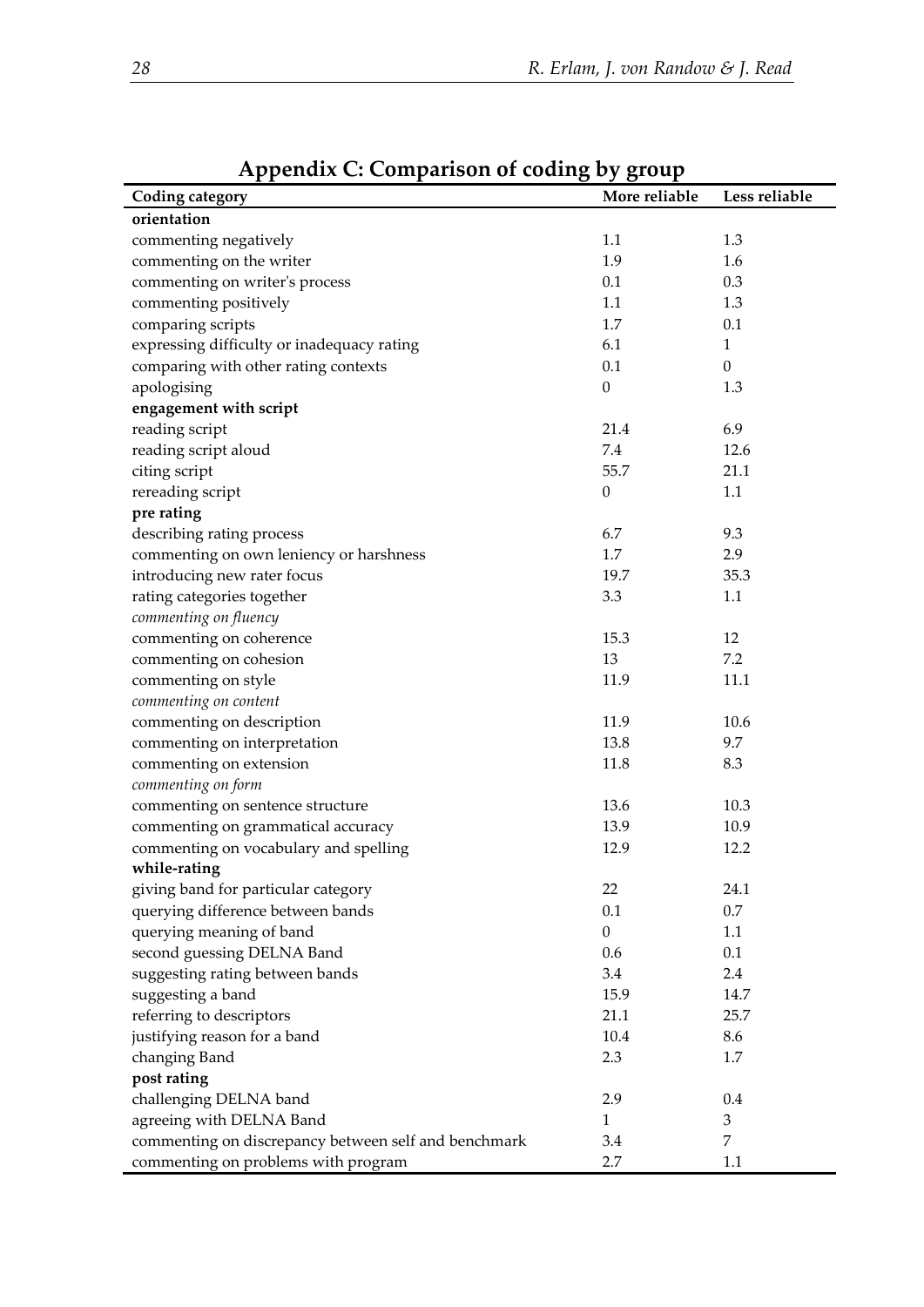| Coding category                                      | More reliable    | Less reliable    |
|------------------------------------------------------|------------------|------------------|
| orientation                                          |                  |                  |
| commenting negatively                                | 1.1              | 1.3              |
| commenting on the writer                             | 1.9              | 1.6              |
| commenting on writer's process                       | 0.1              | 0.3              |
|                                                      | 1.1              | 1.3              |
| commenting positively                                |                  |                  |
| comparing scripts                                    | 1.7              | 0.1              |
| expressing difficulty or inadequacy rating           | 6.1              | $\mathbf{1}$     |
| comparing with other rating contexts                 | 0.1              | $\boldsymbol{0}$ |
| apologising                                          | $\boldsymbol{0}$ | 1.3              |
| engagement with script                               |                  |                  |
| reading script                                       | 21.4             | 6.9              |
| reading script aloud                                 | 7.4              | 12.6             |
| citing script                                        | 55.7             | 21.1             |
| rereading script                                     | $\boldsymbol{0}$ | 1.1              |
| pre rating                                           |                  |                  |
| describing rating process                            | 6.7              | 9.3              |
| commenting on own leniency or harshness              | 1.7              | 2.9              |
| introducing new rater focus                          | 19.7             | 35.3             |
| rating categories together                           | 3.3              | 1.1              |
| commenting on fluency                                |                  |                  |
| commenting on coherence                              | 15.3             | 12               |
| commenting on cohesion                               | 13               | 7.2              |
| commenting on style                                  | 11.9             | 11.1             |
| commenting on content                                |                  |                  |
| commenting on description                            | 11.9             | 10.6             |
| commenting on interpretation                         | 13.8             | 9.7              |
| commenting on extension                              | 11.8             | 8.3              |
| commenting on form                                   |                  |                  |
| commenting on sentence structure                     | 13.6             | 10.3             |
| commenting on grammatical accuracy                   | 13.9             | 10.9             |
| commenting on vocabulary and spelling                | 12.9             | 12.2             |
| while-rating                                         |                  |                  |
| giving band for particular category                  | 22               | 24.1             |
| querying difference between bands                    | 0.1              | $0.7\,$          |
| querying meaning of band                             | $\boldsymbol{0}$ | 1.1              |
| second guessing DELNA Band                           | 0.6              | 0.1              |
| suggesting rating between bands                      | 3.4              | 2.4              |
| suggesting a band                                    | 15.9             | 14.7             |
| referring to descriptors                             | 21.1             | 25.7             |
| justifying reason for a band                         | 10.4             | 8.6              |
| changing Band                                        | 2.3              | 1.7              |
| post rating                                          |                  |                  |
| challenging DELNA band                               | 2.9              | $0.4\,$          |
| agreeing with DELNA Band                             | $\mathbf{1}$     | 3                |
| commenting on discrepancy between self and benchmark | 3.4              | 7                |
| commenting on problems with program                  | 2.7              | $1.1\,$          |

# **Appendix C: Comparison of coding by group**